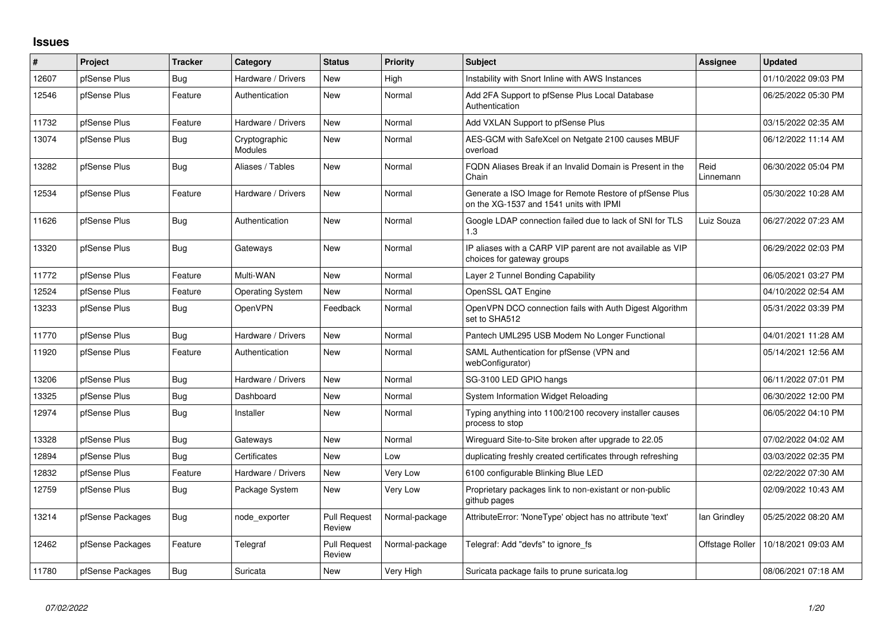## **Issues**

| ∦     | Project          | <b>Tracker</b> | Category                        | <b>Status</b>                 | <b>Priority</b> | <b>Subject</b>                                                                                     | <b>Assignee</b>   | <b>Updated</b>      |
|-------|------------------|----------------|---------------------------------|-------------------------------|-----------------|----------------------------------------------------------------------------------------------------|-------------------|---------------------|
| 12607 | pfSense Plus     | Bug            | Hardware / Drivers              | <b>New</b>                    | High            | Instability with Snort Inline with AWS Instances                                                   |                   | 01/10/2022 09:03 PM |
| 12546 | pfSense Plus     | Feature        | Authentication                  | <b>New</b>                    | Normal          | Add 2FA Support to pfSense Plus Local Database<br>Authentication                                   |                   | 06/25/2022 05:30 PM |
| 11732 | pfSense Plus     | Feature        | Hardware / Drivers              | <b>New</b>                    | Normal          | Add VXLAN Support to pfSense Plus                                                                  |                   | 03/15/2022 02:35 AM |
| 13074 | pfSense Plus     | Bug            | Cryptographic<br><b>Modules</b> | <b>New</b>                    | Normal          | AES-GCM with SafeXcel on Netgate 2100 causes MBUF<br>overload                                      |                   | 06/12/2022 11:14 AM |
| 13282 | pfSense Plus     | Bug            | Aliases / Tables                | <b>New</b>                    | Normal          | FQDN Aliases Break if an Invalid Domain is Present in the<br>Chain                                 | Reid<br>Linnemann | 06/30/2022 05:04 PM |
| 12534 | pfSense Plus     | Feature        | Hardware / Drivers              | New                           | Normal          | Generate a ISO Image for Remote Restore of pfSense Plus<br>on the XG-1537 and 1541 units with IPMI |                   | 05/30/2022 10:28 AM |
| 11626 | pfSense Plus     | Bug            | Authentication                  | <b>New</b>                    | Normal          | Google LDAP connection failed due to lack of SNI for TLS<br>1.3                                    | Luiz Souza        | 06/27/2022 07:23 AM |
| 13320 | pfSense Plus     | Bug            | Gateways                        | <b>New</b>                    | Normal          | IP aliases with a CARP VIP parent are not available as VIP<br>choices for gateway groups           |                   | 06/29/2022 02:03 PM |
| 11772 | pfSense Plus     | Feature        | Multi-WAN                       | <b>New</b>                    | Normal          | Layer 2 Tunnel Bonding Capability                                                                  |                   | 06/05/2021 03:27 PM |
| 12524 | pfSense Plus     | Feature        | <b>Operating System</b>         | <b>New</b>                    | Normal          | OpenSSL QAT Engine                                                                                 |                   | 04/10/2022 02:54 AM |
| 13233 | pfSense Plus     | Bug            | OpenVPN                         | Feedback                      | Normal          | OpenVPN DCO connection fails with Auth Digest Algorithm<br>set to SHA512                           |                   | 05/31/2022 03:39 PM |
| 11770 | pfSense Plus     | Bug            | Hardware / Drivers              | <b>New</b>                    | Normal          | Pantech UML295 USB Modem No Longer Functional                                                      |                   | 04/01/2021 11:28 AM |
| 11920 | pfSense Plus     | Feature        | Authentication                  | <b>New</b>                    | Normal          | SAML Authentication for pfSense (VPN and<br>webConfigurator)                                       |                   | 05/14/2021 12:56 AM |
| 13206 | pfSense Plus     | <b>Bug</b>     | Hardware / Drivers              | <b>New</b>                    | Normal          | SG-3100 LED GPIO hangs                                                                             |                   | 06/11/2022 07:01 PM |
| 13325 | pfSense Plus     | Bug            | Dashboard                       | <b>New</b>                    | Normal          | System Information Widget Reloading                                                                |                   | 06/30/2022 12:00 PM |
| 12974 | pfSense Plus     | Bug            | Installer                       | <b>New</b>                    | Normal          | Typing anything into 1100/2100 recovery installer causes<br>process to stop                        |                   | 06/05/2022 04:10 PM |
| 13328 | pfSense Plus     | <b>Bug</b>     | Gateways                        | <b>New</b>                    | Normal          | Wireguard Site-to-Site broken after upgrade to 22.05                                               |                   | 07/02/2022 04:02 AM |
| 12894 | pfSense Plus     | Bug            | Certificates                    | <b>New</b>                    | Low             | duplicating freshly created certificates through refreshing                                        |                   | 03/03/2022 02:35 PM |
| 12832 | pfSense Plus     | Feature        | Hardware / Drivers              | <b>New</b>                    | Very Low        | 6100 configurable Blinking Blue LED                                                                |                   | 02/22/2022 07:30 AM |
| 12759 | pfSense Plus     | Bug            | Package System                  | <b>New</b>                    | Very Low        | Proprietary packages link to non-existant or non-public<br>github pages                            |                   | 02/09/2022 10:43 AM |
| 13214 | pfSense Packages | <b>Bug</b>     | node exporter                   | <b>Pull Request</b><br>Review | Normal-package  | AttributeError: 'NoneType' object has no attribute 'text'                                          | lan Grindley      | 05/25/2022 08:20 AM |
| 12462 | pfSense Packages | Feature        | Telegraf                        | <b>Pull Request</b><br>Review | Normal-package  | Telegraf: Add "devfs" to ignore fs                                                                 | Offstage Roller   | 10/18/2021 09:03 AM |
| 11780 | pfSense Packages | Bug            | Suricata                        | <b>New</b>                    | Very High       | Suricata package fails to prune suricata.log                                                       |                   | 08/06/2021 07:18 AM |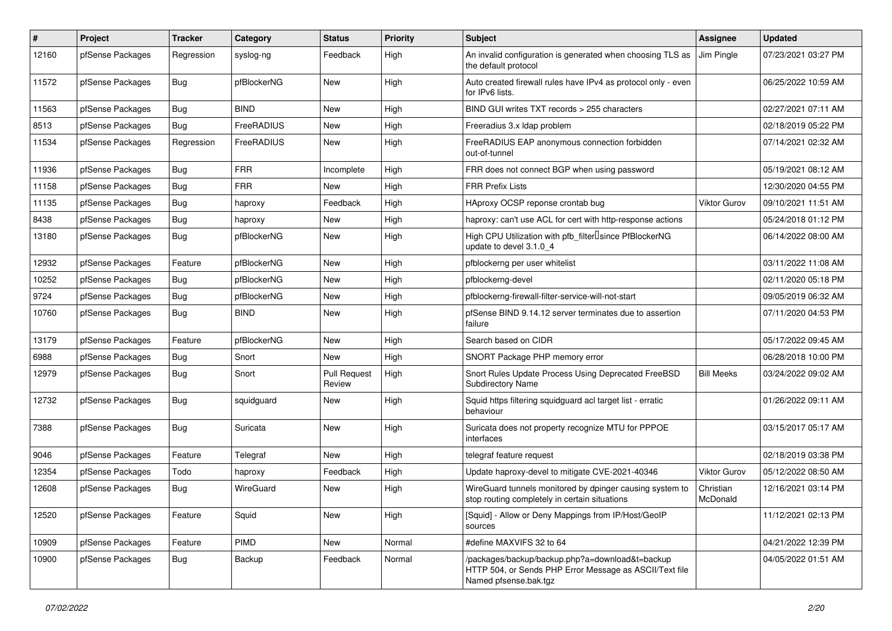| $\pmb{\#}$ | Project          | <b>Tracker</b> | Category    | <b>Status</b>                 | <b>Priority</b> | <b>Subject</b>                                                                                                                      | <b>Assignee</b>       | <b>Updated</b>      |
|------------|------------------|----------------|-------------|-------------------------------|-----------------|-------------------------------------------------------------------------------------------------------------------------------------|-----------------------|---------------------|
| 12160      | pfSense Packages | Regression     | syslog-ng   | Feedback                      | High            | An invalid configuration is generated when choosing TLS as<br>the default protocol                                                  | Jim Pingle            | 07/23/2021 03:27 PM |
| 11572      | pfSense Packages | Bug            | pfBlockerNG | <b>New</b>                    | High            | Auto created firewall rules have IPv4 as protocol only - even<br>for IPv6 lists.                                                    |                       | 06/25/2022 10:59 AM |
| 11563      | pfSense Packages | Bug            | <b>BIND</b> | New                           | High            | BIND GUI writes TXT records > 255 characters                                                                                        |                       | 02/27/2021 07:11 AM |
| 8513       | pfSense Packages | Bug            | FreeRADIUS  | New                           | High            | Freeradius 3.x Idap problem                                                                                                         |                       | 02/18/2019 05:22 PM |
| 11534      | pfSense Packages | Regression     | FreeRADIUS  | New                           | High            | FreeRADIUS EAP anonymous connection forbidden<br>out-of-tunnel                                                                      |                       | 07/14/2021 02:32 AM |
| 11936      | pfSense Packages | <b>Bug</b>     | <b>FRR</b>  | Incomplete                    | High            | FRR does not connect BGP when using password                                                                                        |                       | 05/19/2021 08:12 AM |
| 11158      | pfSense Packages | Bug            | <b>FRR</b>  | <b>New</b>                    | High            | <b>FRR Prefix Lists</b>                                                                                                             |                       | 12/30/2020 04:55 PM |
| 11135      | pfSense Packages | <b>Bug</b>     | haproxy     | Feedback                      | High            | HAproxy OCSP reponse crontab bug                                                                                                    | <b>Viktor Gurov</b>   | 09/10/2021 11:51 AM |
| 8438       | pfSense Packages | <b>Bug</b>     | haproxy     | New                           | High            | haproxy: can't use ACL for cert with http-response actions                                                                          |                       | 05/24/2018 01:12 PM |
| 13180      | pfSense Packages | Bug            | pfBlockerNG | New                           | High            | High CPU Utilization with pfb_filter <sup>[]</sup> since PfBlockerNG<br>update to devel 3.1.0_4                                     |                       | 06/14/2022 08:00 AM |
| 12932      | pfSense Packages | Feature        | pfBlockerNG | New                           | High            | pfblockerng per user whitelist                                                                                                      |                       | 03/11/2022 11:08 AM |
| 10252      | pfSense Packages | <b>Bug</b>     | pfBlockerNG | <b>New</b>                    | High            | pfblockerng-devel                                                                                                                   |                       | 02/11/2020 05:18 PM |
| 9724       | pfSense Packages | <b>Bug</b>     | pfBlockerNG | New                           | High            | pfblockerng-firewall-filter-service-will-not-start                                                                                  |                       | 09/05/2019 06:32 AM |
| 10760      | pfSense Packages | Bug            | <b>BIND</b> | New                           | High            | pfSense BIND 9.14.12 server terminates due to assertion<br>failure                                                                  |                       | 07/11/2020 04:53 PM |
| 13179      | pfSense Packages | Feature        | pfBlockerNG | New                           | High            | Search based on CIDR                                                                                                                |                       | 05/17/2022 09:45 AM |
| 6988       | pfSense Packages | Bug            | Snort       | New                           | High            | SNORT Package PHP memory error                                                                                                      |                       | 06/28/2018 10:00 PM |
| 12979      | pfSense Packages | Bug            | Snort       | <b>Pull Request</b><br>Review | High            | Snort Rules Update Process Using Deprecated FreeBSD<br><b>Subdirectory Name</b>                                                     | <b>Bill Meeks</b>     | 03/24/2022 09:02 AM |
| 12732      | pfSense Packages | <b>Bug</b>     | squidguard  | New                           | High            | Squid https filtering squidguard acl target list - erratic<br>behaviour                                                             |                       | 01/26/2022 09:11 AM |
| 7388       | pfSense Packages | <b>Bug</b>     | Suricata    | <b>New</b>                    | High            | Suricata does not property recognize MTU for PPPOE<br>interfaces                                                                    |                       | 03/15/2017 05:17 AM |
| 9046       | pfSense Packages | Feature        | Telegraf    | <b>New</b>                    | High            | telegraf feature request                                                                                                            |                       | 02/18/2019 03:38 PM |
| 12354      | pfSense Packages | Todo           | haproxy     | Feedback                      | High            | Update haproxy-devel to mitigate CVE-2021-40346                                                                                     | <b>Viktor Gurov</b>   | 05/12/2022 08:50 AM |
| 12608      | pfSense Packages | Bug            | WireGuard   | New                           | High            | WireGuard tunnels monitored by dpinger causing system to<br>stop routing completely in certain situations                           | Christian<br>McDonald | 12/16/2021 03:14 PM |
| 12520      | pfSense Packages | Feature        | Squid       | New                           | High            | [Squid] - Allow or Deny Mappings from IP/Host/GeoIP<br>sources                                                                      |                       | 11/12/2021 02:13 PM |
| 10909      | pfSense Packages | Feature        | PIMD        | New                           | Normal          | #define MAXVIFS 32 to 64                                                                                                            |                       | 04/21/2022 12:39 PM |
| 10900      | pfSense Packages | Bug            | Backup      | Feedback                      | Normal          | /packages/backup/backup.php?a=download&t=backup<br>HTTP 504, or Sends PHP Error Message as ASCII/Text file<br>Named pfsense.bak.tgz |                       | 04/05/2022 01:51 AM |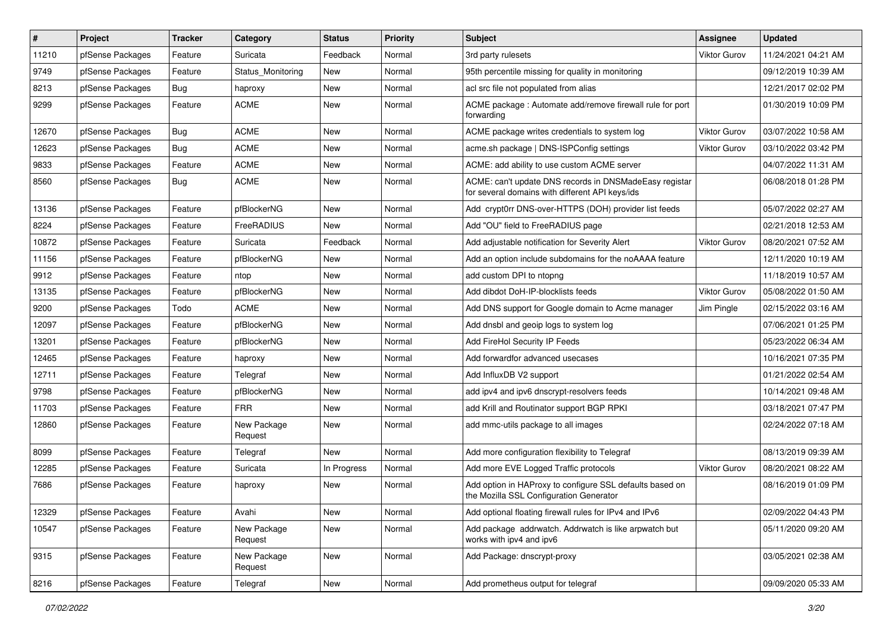| $\vert$ # | Project          | <b>Tracker</b> | Category               | <b>Status</b> | Priority | Subject                                                                                                   | <b>Assignee</b>     | <b>Updated</b>      |
|-----------|------------------|----------------|------------------------|---------------|----------|-----------------------------------------------------------------------------------------------------------|---------------------|---------------------|
| 11210     | pfSense Packages | Feature        | Suricata               | Feedback      | Normal   | 3rd party rulesets                                                                                        | <b>Viktor Gurov</b> | 11/24/2021 04:21 AM |
| 9749      | pfSense Packages | Feature        | Status Monitoring      | New           | Normal   | 95th percentile missing for quality in monitoring                                                         |                     | 09/12/2019 10:39 AM |
| 8213      | pfSense Packages | Bug            | haproxy                | New           | Normal   | acl src file not populated from alias                                                                     |                     | 12/21/2017 02:02 PM |
| 9299      | pfSense Packages | Feature        | <b>ACME</b>            | New           | Normal   | ACME package : Automate add/remove firewall rule for port<br>forwarding                                   |                     | 01/30/2019 10:09 PM |
| 12670     | pfSense Packages | <b>Bug</b>     | <b>ACME</b>            | New           | Normal   | ACME package writes credentials to system log                                                             | <b>Viktor Gurov</b> | 03/07/2022 10:58 AM |
| 12623     | pfSense Packages | Bug            | <b>ACME</b>            | New           | Normal   | acme.sh package   DNS-ISPConfig settings                                                                  | <b>Viktor Gurov</b> | 03/10/2022 03:42 PM |
| 9833      | pfSense Packages | Feature        | <b>ACME</b>            | New           | Normal   | ACME: add ability to use custom ACME server                                                               |                     | 04/07/2022 11:31 AM |
| 8560      | pfSense Packages | <b>Bug</b>     | <b>ACME</b>            | New           | Normal   | ACME: can't update DNS records in DNSMadeEasy registar<br>for several domains with different API keys/ids |                     | 06/08/2018 01:28 PM |
| 13136     | pfSense Packages | Feature        | pfBlockerNG            | New           | Normal   | Add crypt0rr DNS-over-HTTPS (DOH) provider list feeds                                                     |                     | 05/07/2022 02:27 AM |
| 8224      | pfSense Packages | Feature        | FreeRADIUS             | <b>New</b>    | Normal   | Add "OU" field to FreeRADIUS page                                                                         |                     | 02/21/2018 12:53 AM |
| 10872     | pfSense Packages | Feature        | Suricata               | Feedback      | Normal   | Add adjustable notification for Severity Alert                                                            | <b>Viktor Gurov</b> | 08/20/2021 07:52 AM |
| 11156     | pfSense Packages | Feature        | pfBlockerNG            | New           | Normal   | Add an option include subdomains for the noAAAA feature                                                   |                     | 12/11/2020 10:19 AM |
| 9912      | pfSense Packages | Feature        | ntop                   | New           | Normal   | add custom DPI to ntopng                                                                                  |                     | 11/18/2019 10:57 AM |
| 13135     | pfSense Packages | Feature        | pfBlockerNG            | New           | Normal   | Add dibdot DoH-IP-blocklists feeds                                                                        | Viktor Gurov        | 05/08/2022 01:50 AM |
| 9200      | pfSense Packages | Todo           | <b>ACME</b>            | New           | Normal   | Add DNS support for Google domain to Acme manager                                                         | Jim Pingle          | 02/15/2022 03:16 AM |
| 12097     | pfSense Packages | Feature        | pfBlockerNG            | New           | Normal   | Add dnsbl and geoip logs to system log                                                                    |                     | 07/06/2021 01:25 PM |
| 13201     | pfSense Packages | Feature        | pfBlockerNG            | New           | Normal   | Add FireHol Security IP Feeds                                                                             |                     | 05/23/2022 06:34 AM |
| 12465     | pfSense Packages | Feature        | haproxy                | New           | Normal   | Add forwardfor advanced usecases                                                                          |                     | 10/16/2021 07:35 PM |
| 12711     | pfSense Packages | Feature        | Telegraf               | New           | Normal   | Add InfluxDB V2 support                                                                                   |                     | 01/21/2022 02:54 AM |
| 9798      | pfSense Packages | Feature        | pfBlockerNG            | New           | Normal   | add ipv4 and ipv6 dnscrypt-resolvers feeds                                                                |                     | 10/14/2021 09:48 AM |
| 11703     | pfSense Packages | Feature        | <b>FRR</b>             | <b>New</b>    | Normal   | add Krill and Routinator support BGP RPKI                                                                 |                     | 03/18/2021 07:47 PM |
| 12860     | pfSense Packages | Feature        | New Package<br>Request | New           | Normal   | add mmc-utils package to all images                                                                       |                     | 02/24/2022 07:18 AM |
| 8099      | pfSense Packages | Feature        | Telegraf               | New           | Normal   | Add more configuration flexibility to Telegraf                                                            |                     | 08/13/2019 09:39 AM |
| 12285     | pfSense Packages | Feature        | Suricata               | In Progress   | Normal   | Add more EVE Logged Traffic protocols                                                                     | <b>Viktor Gurov</b> | 08/20/2021 08:22 AM |
| 7686      | pfSense Packages | Feature        | haproxy                | New           | Normal   | Add option in HAProxy to configure SSL defaults based on<br>the Mozilla SSL Configuration Generator       |                     | 08/16/2019 01:09 PM |
| 12329     | pfSense Packages | Feature        | Avahi                  | New           | Normal   | Add optional floating firewall rules for IPv4 and IPv6                                                    |                     | 02/09/2022 04:43 PM |
| 10547     | pfSense Packages | Feature        | New Package<br>Request | New           | Normal   | Add package addrwatch. Addrwatch is like arpwatch but<br>works with ipv4 and ipv6                         |                     | 05/11/2020 09:20 AM |
| 9315      | pfSense Packages | Feature        | New Package<br>Request | New           | Normal   | Add Package: dnscrypt-proxy                                                                               |                     | 03/05/2021 02:38 AM |
| 8216      | pfSense Packages | Feature        | Telegraf               | New           | Normal   | Add prometheus output for telegraf                                                                        |                     | 09/09/2020 05:33 AM |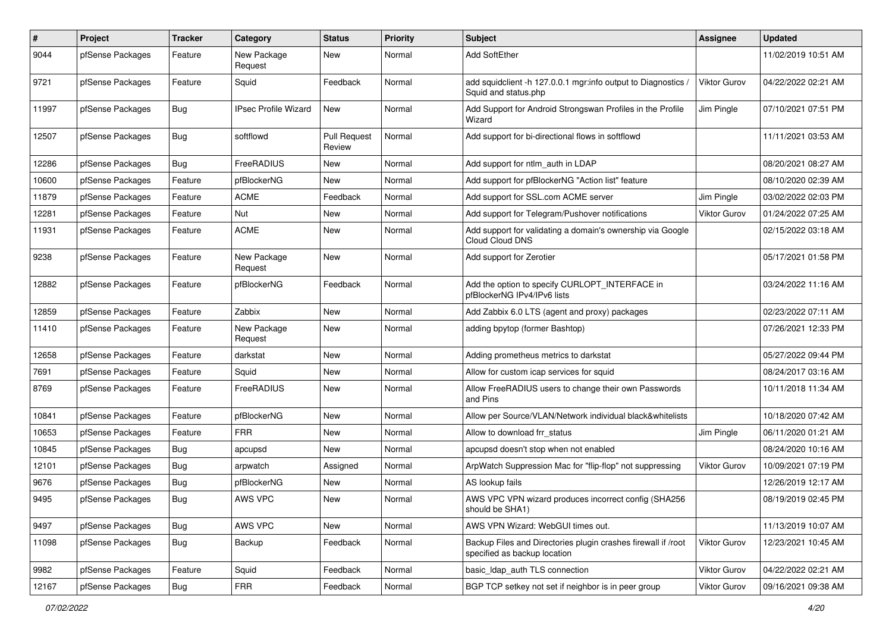| $\#$  | Project          | Tracker    | Category                    | <b>Status</b>                 | <b>Priority</b> | <b>Subject</b>                                                                                | Assignee            | <b>Updated</b>      |
|-------|------------------|------------|-----------------------------|-------------------------------|-----------------|-----------------------------------------------------------------------------------------------|---------------------|---------------------|
| 9044  | pfSense Packages | Feature    | New Package<br>Request      | New                           | Normal          | Add SoftEther                                                                                 |                     | 11/02/2019 10:51 AM |
| 9721  | pfSense Packages | Feature    | Squid                       | Feedback                      | Normal          | add squidclient -h 127.0.0.1 mgr:info output to Diagnostics<br>Squid and status.php           | <b>Viktor Gurov</b> | 04/22/2022 02:21 AM |
| 11997 | pfSense Packages | Bug        | <b>IPsec Profile Wizard</b> | <b>New</b>                    | Normal          | Add Support for Android Strongswan Profiles in the Profile<br>Wizard                          | Jim Pingle          | 07/10/2021 07:51 PM |
| 12507 | pfSense Packages | Bug        | softflowd                   | <b>Pull Request</b><br>Review | Normal          | Add support for bi-directional flows in softflowd                                             |                     | 11/11/2021 03:53 AM |
| 12286 | pfSense Packages | Bug        | FreeRADIUS                  | <b>New</b>                    | Normal          | Add support for ntlm auth in LDAP                                                             |                     | 08/20/2021 08:27 AM |
| 10600 | pfSense Packages | Feature    | pfBlockerNG                 | New                           | Normal          | Add support for pfBlockerNG "Action list" feature                                             |                     | 08/10/2020 02:39 AM |
| 11879 | pfSense Packages | Feature    | ACME                        | Feedback                      | Normal          | Add support for SSL.com ACME server                                                           | Jim Pingle          | 03/02/2022 02:03 PM |
| 12281 | pfSense Packages | Feature    | Nut                         | New                           | Normal          | Add support for Telegram/Pushover notifications                                               | <b>Viktor Gurov</b> | 01/24/2022 07:25 AM |
| 11931 | pfSense Packages | Feature    | <b>ACME</b>                 | <b>New</b>                    | Normal          | Add support for validating a domain's ownership via Google<br>Cloud Cloud DNS                 |                     | 02/15/2022 03:18 AM |
| 9238  | pfSense Packages | Feature    | New Package<br>Request      | New                           | Normal          | Add support for Zerotier                                                                      |                     | 05/17/2021 01:58 PM |
| 12882 | pfSense Packages | Feature    | pfBlockerNG                 | Feedback                      | Normal          | Add the option to specify CURLOPT INTERFACE in<br>pfBlockerNG IPv4/IPv6 lists                 |                     | 03/24/2022 11:16 AM |
| 12859 | pfSense Packages | Feature    | Zabbix                      | New                           | Normal          | Add Zabbix 6.0 LTS (agent and proxy) packages                                                 |                     | 02/23/2022 07:11 AM |
| 11410 | pfSense Packages | Feature    | New Package<br>Request      | New                           | Normal          | adding bpytop (former Bashtop)                                                                |                     | 07/26/2021 12:33 PM |
| 12658 | pfSense Packages | Feature    | darkstat                    | New                           | Normal          | Adding prometheus metrics to darkstat                                                         |                     | 05/27/2022 09:44 PM |
| 7691  | pfSense Packages | Feature    | Squid                       | New                           | Normal          | Allow for custom icap services for squid                                                      |                     | 08/24/2017 03:16 AM |
| 8769  | pfSense Packages | Feature    | <b>FreeRADIUS</b>           | <b>New</b>                    | Normal          | Allow FreeRADIUS users to change their own Passwords<br>and Pins                              |                     | 10/11/2018 11:34 AM |
| 10841 | pfSense Packages | Feature    | pfBlockerNG                 | <b>New</b>                    | Normal          | Allow per Source/VLAN/Network individual black&whitelists                                     |                     | 10/18/2020 07:42 AM |
| 10653 | pfSense Packages | Feature    | <b>FRR</b>                  | New                           | Normal          | Allow to download frr status                                                                  | Jim Pingle          | 06/11/2020 01:21 AM |
| 10845 | pfSense Packages | Bug        | apcupsd                     | New                           | Normal          | apcupsd doesn't stop when not enabled                                                         |                     | 08/24/2020 10:16 AM |
| 12101 | pfSense Packages | Bug        | arpwatch                    | Assigned                      | Normal          | ArpWatch Suppression Mac for "flip-flop" not suppressing                                      | Viktor Gurov        | 10/09/2021 07:19 PM |
| 9676  | pfSense Packages | <b>Bug</b> | pfBlockerNG                 | New                           | Normal          | AS lookup fails                                                                               |                     | 12/26/2019 12:17 AM |
| 9495  | pfSense Packages | Bug        | AWS VPC                     | New                           | Normal          | AWS VPC VPN wizard produces incorrect config (SHA256)<br>should be SHA1)                      |                     | 08/19/2019 02:45 PM |
| 9497  | pfSense Packages | Bug        | AWS VPC                     | New                           | Normal          | AWS VPN Wizard: WebGUI times out.                                                             |                     | 11/13/2019 10:07 AM |
| 11098 | pfSense Packages | Bug        | Backup                      | Feedback                      | Normal          | Backup Files and Directories plugin crashes firewall if /root<br>specified as backup location | <b>Viktor Gurov</b> | 12/23/2021 10:45 AM |
| 9982  | pfSense Packages | Feature    | Squid                       | Feedback                      | Normal          | basic_Idap_auth TLS connection                                                                | <b>Viktor Gurov</b> | 04/22/2022 02:21 AM |
| 12167 | pfSense Packages | Bug        | <b>FRR</b>                  | Feedback                      | Normal          | BGP TCP setkey not set if neighbor is in peer group                                           | Viktor Gurov        | 09/16/2021 09:38 AM |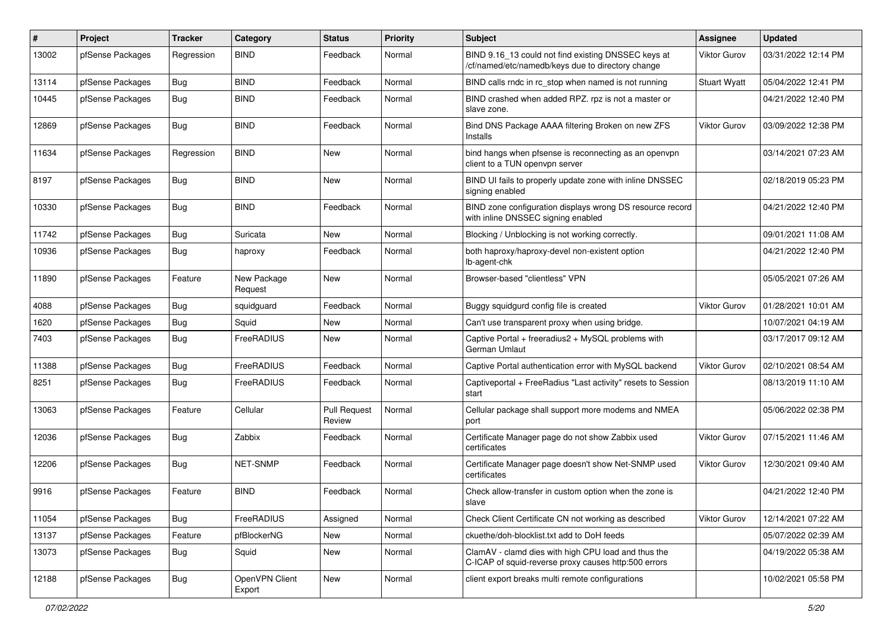| $\vert$ # | Project          | <b>Tracker</b> | Category                 | <b>Status</b>                 | <b>Priority</b> | Subject                                                                                                     | Assignee            | <b>Updated</b>      |
|-----------|------------------|----------------|--------------------------|-------------------------------|-----------------|-------------------------------------------------------------------------------------------------------------|---------------------|---------------------|
| 13002     | pfSense Packages | Regression     | <b>BIND</b>              | Feedback                      | Normal          | BIND 9.16_13 could not find existing DNSSEC keys at<br>/cf/named/etc/namedb/keys due to directory change    | Viktor Gurov        | 03/31/2022 12:14 PM |
| 13114     | pfSense Packages | Bug            | <b>BIND</b>              | Feedback                      | Normal          | BIND calls rndc in rc_stop when named is not running                                                        | <b>Stuart Wyatt</b> | 05/04/2022 12:41 PM |
| 10445     | pfSense Packages | Bug            | <b>BIND</b>              | Feedback                      | Normal          | BIND crashed when added RPZ. rpz is not a master or<br>slave zone.                                          |                     | 04/21/2022 12:40 PM |
| 12869     | pfSense Packages | Bug            | <b>BIND</b>              | Feedback                      | Normal          | Bind DNS Package AAAA filtering Broken on new ZFS<br>Installs                                               | <b>Viktor Gurov</b> | 03/09/2022 12:38 PM |
| 11634     | pfSense Packages | Regression     | <b>BIND</b>              | <b>New</b>                    | Normal          | bind hangs when pfsense is reconnecting as an openvpn<br>client to a TUN openvpn server                     |                     | 03/14/2021 07:23 AM |
| 8197      | pfSense Packages | Bug            | <b>BIND</b>              | New                           | Normal          | BIND UI fails to properly update zone with inline DNSSEC<br>signing enabled                                 |                     | 02/18/2019 05:23 PM |
| 10330     | pfSense Packages | Bug            | <b>BIND</b>              | Feedback                      | Normal          | BIND zone configuration displays wrong DS resource record<br>with inline DNSSEC signing enabled             |                     | 04/21/2022 12:40 PM |
| 11742     | pfSense Packages | Bug            | Suricata                 | New                           | Normal          | Blocking / Unblocking is not working correctly.                                                             |                     | 09/01/2021 11:08 AM |
| 10936     | pfSense Packages | Bug            | haproxy                  | Feedback                      | Normal          | both haproxy/haproxy-devel non-existent option<br>lb-agent-chk                                              |                     | 04/21/2022 12:40 PM |
| 11890     | pfSense Packages | Feature        | New Package<br>Request   | New                           | Normal          | Browser-based "clientless" VPN                                                                              |                     | 05/05/2021 07:26 AM |
| 4088      | pfSense Packages | Bug            | squidguard               | Feedback                      | Normal          | Buggy squidgurd config file is created                                                                      | <b>Viktor Gurov</b> | 01/28/2021 10:01 AM |
| 1620      | pfSense Packages | Bug            | Squid                    | New                           | Normal          | Can't use transparent proxy when using bridge.                                                              |                     | 10/07/2021 04:19 AM |
| 7403      | pfSense Packages | Bug            | FreeRADIUS               | New                           | Normal          | Captive Portal + freeradius2 + MySQL problems with<br>German Umlaut                                         |                     | 03/17/2017 09:12 AM |
| 11388     | pfSense Packages | <b>Bug</b>     | FreeRADIUS               | Feedback                      | Normal          | Captive Portal authentication error with MySQL backend                                                      | <b>Viktor Gurov</b> | 02/10/2021 08:54 AM |
| 8251      | pfSense Packages | Bug            | FreeRADIUS               | Feedback                      | Normal          | Captiveportal + FreeRadius "Last activity" resets to Session<br>start                                       |                     | 08/13/2019 11:10 AM |
| 13063     | pfSense Packages | Feature        | Cellular                 | <b>Pull Request</b><br>Review | Normal          | Cellular package shall support more modems and NMEA<br>port                                                 |                     | 05/06/2022 02:38 PM |
| 12036     | pfSense Packages | <b>Bug</b>     | Zabbix                   | Feedback                      | Normal          | Certificate Manager page do not show Zabbix used<br>certificates                                            | Viktor Gurov        | 07/15/2021 11:46 AM |
| 12206     | pfSense Packages | <b>Bug</b>     | <b>NET-SNMP</b>          | Feedback                      | Normal          | Certificate Manager page doesn't show Net-SNMP used<br>certificates                                         | Viktor Gurov        | 12/30/2021 09:40 AM |
| 9916      | pfSense Packages | Feature        | <b>BIND</b>              | Feedback                      | Normal          | Check allow-transfer in custom option when the zone is<br>slave                                             |                     | 04/21/2022 12:40 PM |
| 11054     | pfSense Packages | Bug            | FreeRADIUS               | Assigned                      | Normal          | Check Client Certificate CN not working as described                                                        | <b>Viktor Gurov</b> | 12/14/2021 07:22 AM |
| 13137     | pfSense Packages | Feature        | pfBlockerNG              | <b>New</b>                    | Normal          | ckuethe/doh-blocklist.txt add to DoH feeds                                                                  |                     | 05/07/2022 02:39 AM |
| 13073     | pfSense Packages | Bug            | Squid                    | New                           | Normal          | ClamAV - clamd dies with high CPU load and thus the<br>C-ICAP of squid-reverse proxy causes http:500 errors |                     | 04/19/2022 05:38 AM |
| 12188     | pfSense Packages | <b>Bug</b>     | OpenVPN Client<br>Export | New                           | Normal          | client export breaks multi remote configurations                                                            |                     | 10/02/2021 05:58 PM |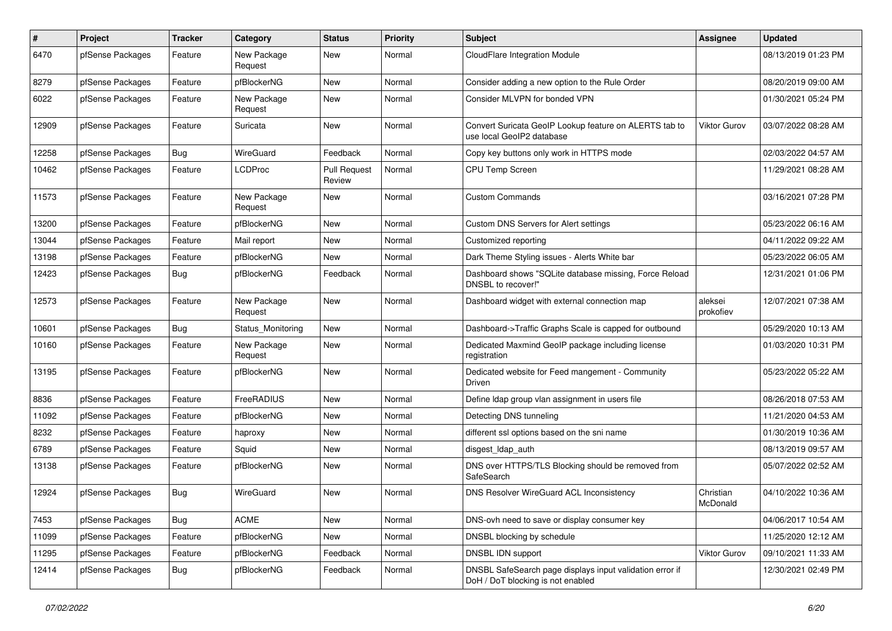| $\sharp$ | Project          | <b>Tracker</b> | Category               | <b>Status</b>                 | Priority | <b>Subject</b>                                                                                | Assignee              | <b>Updated</b>      |
|----------|------------------|----------------|------------------------|-------------------------------|----------|-----------------------------------------------------------------------------------------------|-----------------------|---------------------|
| 6470     | pfSense Packages | Feature        | New Package<br>Request | New                           | Normal   | CloudFlare Integration Module                                                                 |                       | 08/13/2019 01:23 PM |
| 8279     | pfSense Packages | Feature        | pfBlockerNG            | New                           | Normal   | Consider adding a new option to the Rule Order                                                |                       | 08/20/2019 09:00 AM |
| 6022     | pfSense Packages | Feature        | New Package<br>Request | <b>New</b>                    | Normal   | Consider MLVPN for bonded VPN                                                                 |                       | 01/30/2021 05:24 PM |
| 12909    | pfSense Packages | Feature        | Suricata               | <b>New</b>                    | Normal   | Convert Suricata GeoIP Lookup feature on ALERTS tab to<br>use local GeoIP2 database           | Viktor Gurov          | 03/07/2022 08:28 AM |
| 12258    | pfSense Packages | Bug            | WireGuard              | Feedback                      | Normal   | Copy key buttons only work in HTTPS mode                                                      |                       | 02/03/2022 04:57 AM |
| 10462    | pfSense Packages | Feature        | <b>LCDProc</b>         | <b>Pull Request</b><br>Review | Normal   | <b>CPU Temp Screen</b>                                                                        |                       | 11/29/2021 08:28 AM |
| 11573    | pfSense Packages | Feature        | New Package<br>Request | New                           | Normal   | <b>Custom Commands</b>                                                                        |                       | 03/16/2021 07:28 PM |
| 13200    | pfSense Packages | Feature        | pfBlockerNG            | <b>New</b>                    | Normal   | Custom DNS Servers for Alert settings                                                         |                       | 05/23/2022 06:16 AM |
| 13044    | pfSense Packages | Feature        | Mail report            | New                           | Normal   | Customized reporting                                                                          |                       | 04/11/2022 09:22 AM |
| 13198    | pfSense Packages | Feature        | pfBlockerNG            | New                           | Normal   | Dark Theme Styling issues - Alerts White bar                                                  |                       | 05/23/2022 06:05 AM |
| 12423    | pfSense Packages | <b>Bug</b>     | pfBlockerNG            | Feedback                      | Normal   | Dashboard shows "SQLite database missing, Force Reload<br>DNSBL to recover!"                  |                       | 12/31/2021 01:06 PM |
| 12573    | pfSense Packages | Feature        | New Package<br>Request | <b>New</b>                    | Normal   | Dashboard widget with external connection map                                                 | aleksei<br>prokofiev  | 12/07/2021 07:38 AM |
| 10601    | pfSense Packages | Bug            | Status Monitoring      | <b>New</b>                    | Normal   | Dashboard->Traffic Graphs Scale is capped for outbound                                        |                       | 05/29/2020 10:13 AM |
| 10160    | pfSense Packages | Feature        | New Package<br>Request | New                           | Normal   | Dedicated Maxmind GeoIP package including license<br>registration                             |                       | 01/03/2020 10:31 PM |
| 13195    | pfSense Packages | Feature        | pfBlockerNG            | <b>New</b>                    | Normal   | Dedicated website for Feed mangement - Community<br>Driven                                    |                       | 05/23/2022 05:22 AM |
| 8836     | pfSense Packages | Feature        | FreeRADIUS             | <b>New</b>                    | Normal   | Define Idap group vlan assignment in users file                                               |                       | 08/26/2018 07:53 AM |
| 11092    | pfSense Packages | Feature        | pfBlockerNG            | <b>New</b>                    | Normal   | Detecting DNS tunneling                                                                       |                       | 11/21/2020 04:53 AM |
| 8232     | pfSense Packages | Feature        | haproxy                | New                           | Normal   | different ssl options based on the sni name                                                   |                       | 01/30/2019 10:36 AM |
| 6789     | pfSense Packages | Feature        | Squid                  | New                           | Normal   | disgest_ldap_auth                                                                             |                       | 08/13/2019 09:57 AM |
| 13138    | pfSense Packages | Feature        | pfBlockerNG            | New                           | Normal   | DNS over HTTPS/TLS Blocking should be removed from<br>SafeSearch                              |                       | 05/07/2022 02:52 AM |
| 12924    | pfSense Packages | <b>Bug</b>     | WireGuard              | New                           | Normal   | DNS Resolver WireGuard ACL Inconsistency                                                      | Christian<br>McDonald | 04/10/2022 10:36 AM |
| 7453     | pfSense Packages | <b>Bug</b>     | <b>ACME</b>            | New                           | Normal   | DNS-ovh need to save or display consumer key                                                  |                       | 04/06/2017 10:54 AM |
| 11099    | pfSense Packages | Feature        | pfBlockerNG            | New                           | Normal   | DNSBL blocking by schedule                                                                    |                       | 11/25/2020 12:12 AM |
| 11295    | pfSense Packages | Feature        | pfBlockerNG            | Feedback                      | Normal   | DNSBL IDN support                                                                             | Viktor Gurov          | 09/10/2021 11:33 AM |
| 12414    | pfSense Packages | <b>Bug</b>     | pfBlockerNG            | Feedback                      | Normal   | DNSBL SafeSearch page displays input validation error if<br>DoH / DoT blocking is not enabled |                       | 12/30/2021 02:49 PM |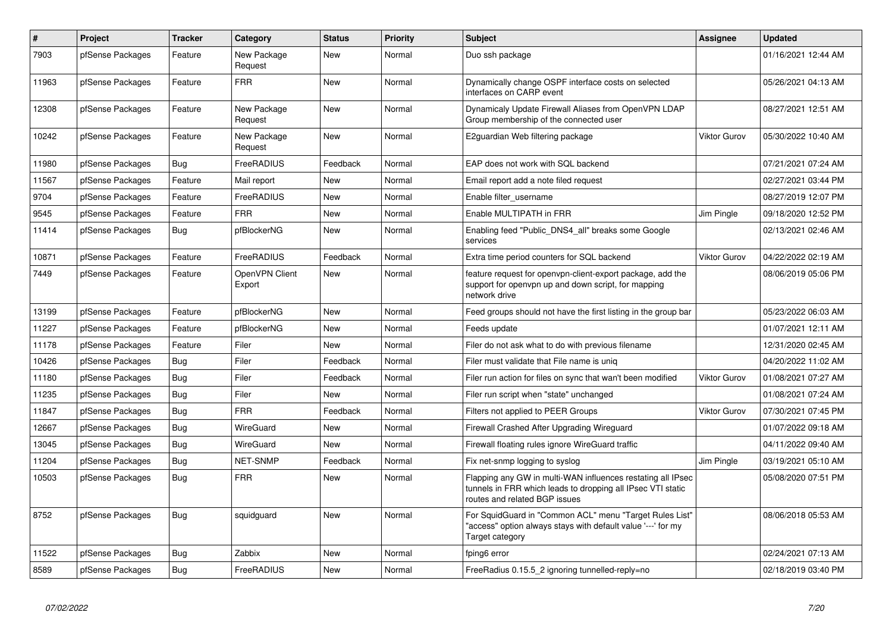| $\#$  | Project          | <b>Tracker</b> | Category                 | <b>Status</b> | <b>Priority</b> | <b>Subject</b>                                                                                                                                              | Assignee            | <b>Updated</b>      |
|-------|------------------|----------------|--------------------------|---------------|-----------------|-------------------------------------------------------------------------------------------------------------------------------------------------------------|---------------------|---------------------|
| 7903  | pfSense Packages | Feature        | New Package<br>Request   | <b>New</b>    | Normal          | Duo ssh package                                                                                                                                             |                     | 01/16/2021 12:44 AM |
| 11963 | pfSense Packages | Feature        | <b>FRR</b>               | <b>New</b>    | Normal          | Dynamically change OSPF interface costs on selected<br>interfaces on CARP event                                                                             |                     | 05/26/2021 04:13 AM |
| 12308 | pfSense Packages | Feature        | New Package<br>Request   | <b>New</b>    | Normal          | Dynamicaly Update Firewall Aliases from OpenVPN LDAP<br>Group membership of the connected user                                                              |                     | 08/27/2021 12:51 AM |
| 10242 | pfSense Packages | Feature        | New Package<br>Request   | <b>New</b>    | Normal          | E2guardian Web filtering package                                                                                                                            | Viktor Gurov        | 05/30/2022 10:40 AM |
| 11980 | pfSense Packages | <b>Bug</b>     | FreeRADIUS               | Feedback      | Normal          | EAP does not work with SQL backend                                                                                                                          |                     | 07/21/2021 07:24 AM |
| 11567 | pfSense Packages | Feature        | Mail report              | <b>New</b>    | Normal          | Email report add a note filed request                                                                                                                       |                     | 02/27/2021 03:44 PM |
| 9704  | pfSense Packages | Feature        | FreeRADIUS               | <b>New</b>    | Normal          | Enable filter username                                                                                                                                      |                     | 08/27/2019 12:07 PM |
| 9545  | pfSense Packages | Feature        | <b>FRR</b>               | New           | Normal          | Enable MULTIPATH in FRR                                                                                                                                     | Jim Pingle          | 09/18/2020 12:52 PM |
| 11414 | pfSense Packages | Bug            | pfBlockerNG              | New           | Normal          | Enabling feed "Public DNS4 all" breaks some Google<br>services                                                                                              |                     | 02/13/2021 02:46 AM |
| 10871 | pfSense Packages | Feature        | FreeRADIUS               | Feedback      | Normal          | Extra time period counters for SQL backend                                                                                                                  | Viktor Gurov        | 04/22/2022 02:19 AM |
| 7449  | pfSense Packages | Feature        | OpenVPN Client<br>Export | New           | Normal          | feature request for openypn-client-export package, add the<br>support for openvpn up and down script, for mapping<br>network drive                          |                     | 08/06/2019 05:06 PM |
| 13199 | pfSense Packages | Feature        | pfBlockerNG              | New           | Normal          | Feed groups should not have the first listing in the group bar                                                                                              |                     | 05/23/2022 06:03 AM |
| 11227 | pfSense Packages | Feature        | pfBlockerNG              | <b>New</b>    | Normal          | Feeds update                                                                                                                                                |                     | 01/07/2021 12:11 AM |
| 11178 | pfSense Packages | Feature        | Filer                    | <b>New</b>    | Normal          | Filer do not ask what to do with previous filename                                                                                                          |                     | 12/31/2020 02:45 AM |
| 10426 | pfSense Packages | Bug            | Filer                    | Feedback      | Normal          | Filer must validate that File name is uniq                                                                                                                  |                     | 04/20/2022 11:02 AM |
| 11180 | pfSense Packages | <b>Bug</b>     | Filer                    | Feedback      | Normal          | Filer run action for files on sync that wan't been modified                                                                                                 | Viktor Gurov        | 01/08/2021 07:27 AM |
| 11235 | pfSense Packages | Bug            | Filer                    | New           | Normal          | Filer run script when "state" unchanged                                                                                                                     |                     | 01/08/2021 07:24 AM |
| 11847 | pfSense Packages | <b>Bug</b>     | <b>FRR</b>               | Feedback      | Normal          | Filters not applied to PEER Groups                                                                                                                          | <b>Viktor Gurov</b> | 07/30/2021 07:45 PM |
| 12667 | pfSense Packages | Bug            | WireGuard                | New           | Normal          | Firewall Crashed After Upgrading Wireguard                                                                                                                  |                     | 01/07/2022 09:18 AM |
| 13045 | pfSense Packages | <b>Bug</b>     | <b>WireGuard</b>         | <b>New</b>    | Normal          | Firewall floating rules ignore WireGuard traffic                                                                                                            |                     | 04/11/2022 09:40 AM |
| 11204 | pfSense Packages | Bug            | NET-SNMP                 | Feedback      | Normal          | Fix net-snmp logging to syslog                                                                                                                              | Jim Pingle          | 03/19/2021 05:10 AM |
| 10503 | pfSense Packages | Bug            | <b>FRR</b>               | <b>New</b>    | Normal          | Flapping any GW in multi-WAN influences restating all IPsec<br>tunnels in FRR which leads to dropping all IPsec VTI static<br>routes and related BGP issues |                     | 05/08/2020 07:51 PM |
| 8752  | pfSense Packages | Bug            | squidguard               | <b>New</b>    | Normal          | For SquidGuard in "Common ACL" menu "Target Rules List"<br>"access" option always stays with default value '---' for my<br>Target category                  |                     | 08/06/2018 05:53 AM |
| 11522 | pfSense Packages | Bug            | Zabbix                   | New           | Normal          | fping6 error                                                                                                                                                |                     | 02/24/2021 07:13 AM |
| 8589  | pfSense Packages | <b>Bug</b>     | FreeRADIUS               | New           | Normal          | FreeRadius 0.15.5_2 ignoring tunnelled-reply=no                                                                                                             |                     | 02/18/2019 03:40 PM |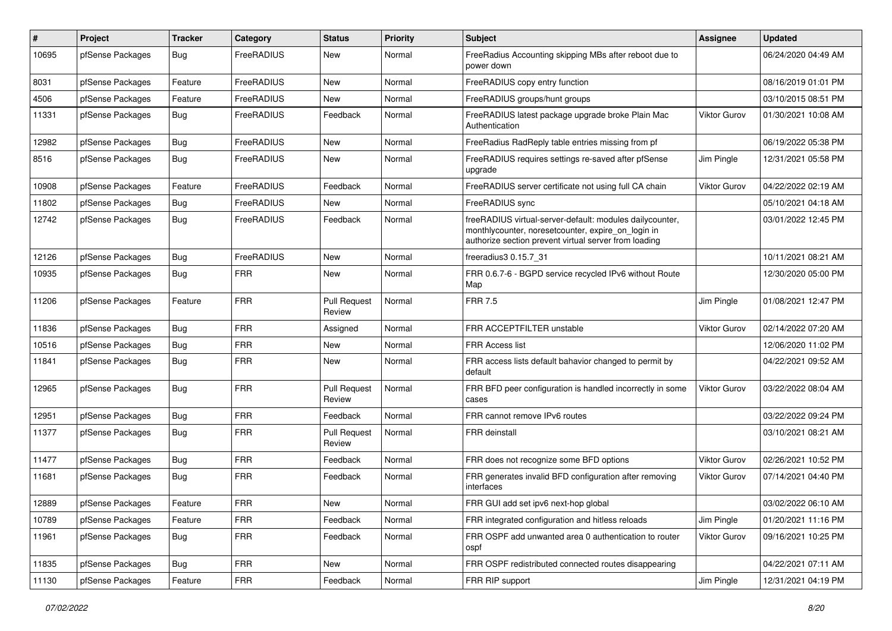| #     | Project          | Tracker    | Category   | <b>Status</b>                 | <b>Priority</b> | <b>Subject</b>                                                                                                                                                           | <b>Assignee</b>     | <b>Updated</b>      |
|-------|------------------|------------|------------|-------------------------------|-----------------|--------------------------------------------------------------------------------------------------------------------------------------------------------------------------|---------------------|---------------------|
| 10695 | pfSense Packages | <b>Bug</b> | FreeRADIUS | New                           | Normal          | FreeRadius Accounting skipping MBs after reboot due to<br>power down                                                                                                     |                     | 06/24/2020 04:49 AM |
| 8031  | pfSense Packages | Feature    | FreeRADIUS | New                           | Normal          | FreeRADIUS copy entry function                                                                                                                                           |                     | 08/16/2019 01:01 PM |
| 4506  | pfSense Packages | Feature    | FreeRADIUS | New                           | Normal          | FreeRADIUS groups/hunt groups                                                                                                                                            |                     | 03/10/2015 08:51 PM |
| 11331 | pfSense Packages | Bug        | FreeRADIUS | Feedback                      | Normal          | FreeRADIUS latest package upgrade broke Plain Mac<br>Authentication                                                                                                      | Viktor Gurov        | 01/30/2021 10:08 AM |
| 12982 | pfSense Packages | Bug        | FreeRADIUS | New                           | Normal          | FreeRadius RadReply table entries missing from pf                                                                                                                        |                     | 06/19/2022 05:38 PM |
| 8516  | pfSense Packages | Bug        | FreeRADIUS | New                           | Normal          | FreeRADIUS requires settings re-saved after pfSense<br>upgrade                                                                                                           | Jim Pingle          | 12/31/2021 05:58 PM |
| 10908 | pfSense Packages | Feature    | FreeRADIUS | Feedback                      | Normal          | FreeRADIUS server certificate not using full CA chain                                                                                                                    | Viktor Gurov        | 04/22/2022 02:19 AM |
| 11802 | pfSense Packages | Bug        | FreeRADIUS | New                           | Normal          | FreeRADIUS sync                                                                                                                                                          |                     | 05/10/2021 04:18 AM |
| 12742 | pfSense Packages | Bug        | FreeRADIUS | Feedback                      | Normal          | freeRADIUS virtual-server-default: modules dailycounter,<br>monthlycounter, noreset counter, expire on login in<br>authorize section prevent virtual server from loading |                     | 03/01/2022 12:45 PM |
| 12126 | pfSense Packages | Bug        | FreeRADIUS | New                           | Normal          | freeradius3 0.15.7 31                                                                                                                                                    |                     | 10/11/2021 08:21 AM |
| 10935 | pfSense Packages | Bug        | <b>FRR</b> | New                           | Normal          | FRR 0.6.7-6 - BGPD service recycled IPv6 without Route<br>Map                                                                                                            |                     | 12/30/2020 05:00 PM |
| 11206 | pfSense Packages | Feature    | <b>FRR</b> | <b>Pull Request</b><br>Review | Normal          | <b>FRR 7.5</b>                                                                                                                                                           | Jim Pingle          | 01/08/2021 12:47 PM |
| 11836 | pfSense Packages | Bug        | <b>FRR</b> | Assigned                      | Normal          | FRR ACCEPTFILTER unstable                                                                                                                                                | Viktor Gurov        | 02/14/2022 07:20 AM |
| 10516 | pfSense Packages | Bug        | <b>FRR</b> | New                           | Normal          | FRR Access list                                                                                                                                                          |                     | 12/06/2020 11:02 PM |
| 11841 | pfSense Packages | Bug        | <b>FRR</b> | New                           | Normal          | FRR access lists default bahavior changed to permit by<br>default                                                                                                        |                     | 04/22/2021 09:52 AM |
| 12965 | pfSense Packages | Bug        | <b>FRR</b> | <b>Pull Request</b><br>Review | Normal          | FRR BFD peer configuration is handled incorrectly in some<br>cases                                                                                                       | Viktor Gurov        | 03/22/2022 08:04 AM |
| 12951 | pfSense Packages | Bug        | <b>FRR</b> | Feedback                      | Normal          | FRR cannot remove IPv6 routes                                                                                                                                            |                     | 03/22/2022 09:24 PM |
| 11377 | pfSense Packages | Bug        | <b>FRR</b> | <b>Pull Request</b><br>Review | Normal          | <b>FRR</b> deinstall                                                                                                                                                     |                     | 03/10/2021 08:21 AM |
| 11477 | pfSense Packages | Bug        | <b>FRR</b> | Feedback                      | Normal          | FRR does not recognize some BFD options                                                                                                                                  | Viktor Gurov        | 02/26/2021 10:52 PM |
| 11681 | pfSense Packages | Bug        | <b>FRR</b> | Feedback                      | Normal          | FRR generates invalid BFD configuration after removing<br>interfaces                                                                                                     | Viktor Gurov        | 07/14/2021 04:40 PM |
| 12889 | pfSense Packages | Feature    | <b>FRR</b> | New                           | Normal          | FRR GUI add set ipv6 next-hop global                                                                                                                                     |                     | 03/02/2022 06:10 AM |
| 10789 | pfSense Packages | Feature    | FRR        | Feedback                      | Normal          | FRR integrated configuration and hitless reloads                                                                                                                         | Jim Pingle          | 01/20/2021 11:16 PM |
| 11961 | pfSense Packages | Bug        | <b>FRR</b> | Feedback                      | Normal          | FRR OSPF add unwanted area 0 authentication to router<br>ospf                                                                                                            | <b>Viktor Gurov</b> | 09/16/2021 10:25 PM |
| 11835 | pfSense Packages | Bug        | <b>FRR</b> | New                           | Normal          | FRR OSPF redistributed connected routes disappearing                                                                                                                     |                     | 04/22/2021 07:11 AM |
| 11130 | pfSense Packages | Feature    | <b>FRR</b> | Feedback                      | Normal          | FRR RIP support                                                                                                                                                          | Jim Pingle          | 12/31/2021 04:19 PM |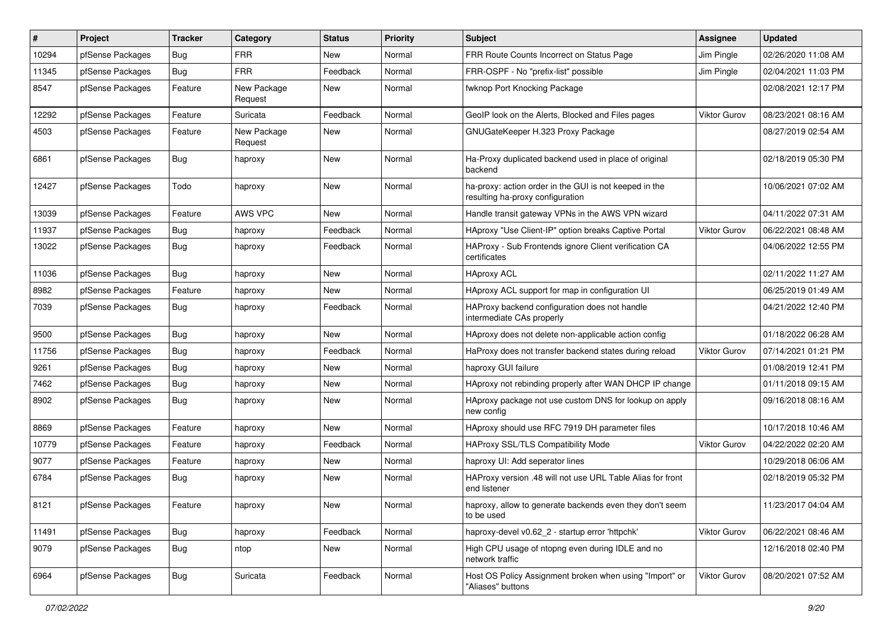| #     | Project          | <b>Tracker</b> | Category               | <b>Status</b> | <b>Priority</b> | <b>Subject</b>                                                                             | <b>Assignee</b> | <b>Updated</b>      |
|-------|------------------|----------------|------------------------|---------------|-----------------|--------------------------------------------------------------------------------------------|-----------------|---------------------|
| 10294 | pfSense Packages | <b>Bug</b>     | <b>FRR</b>             | New           | Normal          | FRR Route Counts Incorrect on Status Page                                                  | Jim Pingle      | 02/26/2020 11:08 AM |
| 11345 | pfSense Packages | <b>Bug</b>     | <b>FRR</b>             | Feedback      | Normal          | FRR-OSPF - No "prefix-list" possible                                                       | Jim Pingle      | 02/04/2021 11:03 PM |
| 8547  | pfSense Packages | Feature        | New Package<br>Request | New           | Normal          | fwknop Port Knocking Package                                                               |                 | 02/08/2021 12:17 PM |
| 12292 | pfSense Packages | Feature        | Suricata               | Feedback      | Normal          | GeoIP look on the Alerts, Blocked and Files pages                                          | Viktor Gurov    | 08/23/2021 08:16 AM |
| 4503  | pfSense Packages | Feature        | New Package<br>Request | New           | Normal          | GNUGateKeeper H.323 Proxy Package                                                          |                 | 08/27/2019 02:54 AM |
| 6861  | pfSense Packages | Bug            | haproxy                | <b>New</b>    | Normal          | Ha-Proxy duplicated backend used in place of original<br>backend                           |                 | 02/18/2019 05:30 PM |
| 12427 | pfSense Packages | Todo           | haproxy                | <b>New</b>    | Normal          | ha-proxy: action order in the GUI is not keeped in the<br>resulting ha-proxy configuration |                 | 10/06/2021 07:02 AM |
| 13039 | pfSense Packages | Feature        | <b>AWS VPC</b>         | <b>New</b>    | Normal          | Handle transit gateway VPNs in the AWS VPN wizard                                          |                 | 04/11/2022 07:31 AM |
| 11937 | pfSense Packages | Bug            | haproxy                | Feedback      | Normal          | HAproxy "Use Client-IP" option breaks Captive Portal                                       | Viktor Gurov    | 06/22/2021 08:48 AM |
| 13022 | pfSense Packages | <b>Bug</b>     | haproxy                | Feedback      | Normal          | HAProxy - Sub Frontends ignore Client verification CA<br>certificates                      |                 | 04/06/2022 12:55 PM |
| 11036 | pfSense Packages | <b>Bug</b>     | haproxy                | <b>New</b>    | Normal          | <b>HAproxy ACL</b>                                                                         |                 | 02/11/2022 11:27 AM |
| 8982  | pfSense Packages | Feature        | haproxy                | New           | Normal          | HAproxy ACL support for map in configuration UI                                            |                 | 06/25/2019 01:49 AM |
| 7039  | pfSense Packages | <b>Bug</b>     | haproxy                | Feedback      | Normal          | HAProxy backend configuration does not handle<br>intermediate CAs properly                 |                 | 04/21/2022 12:40 PM |
| 9500  | pfSense Packages | <b>Bug</b>     | haproxy                | <b>New</b>    | Normal          | HAproxy does not delete non-applicable action config                                       |                 | 01/18/2022 06:28 AM |
| 11756 | pfSense Packages | Bug            | haproxy                | Feedback      | Normal          | HaProxy does not transfer backend states during reload                                     | Viktor Gurov    | 07/14/2021 01:21 PM |
| 9261  | pfSense Packages | Bug            | haproxy                | <b>New</b>    | Normal          | haproxy GUI failure                                                                        |                 | 01/08/2019 12:41 PM |
| 7462  | pfSense Packages | Bug            | haproxy                | New           | Normal          | HAproxy not rebinding properly after WAN DHCP IP change                                    |                 | 01/11/2018 09:15 AM |
| 8902  | pfSense Packages | <b>Bug</b>     | haproxy                | <b>New</b>    | Normal          | HAproxy package not use custom DNS for lookup on apply<br>new config                       |                 | 09/16/2018 08:16 AM |
| 8869  | pfSense Packages | Feature        | haproxy                | <b>New</b>    | Normal          | HAproxy should use RFC 7919 DH parameter files                                             |                 | 10/17/2018 10:46 AM |
| 10779 | pfSense Packages | Feature        | haproxy                | Feedback      | Normal          | HAProxy SSL/TLS Compatibility Mode                                                         | Viktor Gurov    | 04/22/2022 02:20 AM |
| 9077  | pfSense Packages | Feature        | haproxy                | <b>New</b>    | Normal          | haproxy UI: Add seperator lines                                                            |                 | 10/29/2018 06:06 AM |
| 6784  | pfSense Packages | <b>Bug</b>     | haproxy                | <b>New</b>    | Normal          | HAProxy version .48 will not use URL Table Alias for front<br>end listener                 |                 | 02/18/2019 05:32 PM |
| 8121  | pfSense Packages | Feature        | haproxy                | New           | Normal          | haproxy, allow to generate backends even they don't seem<br>to be used                     |                 | 11/23/2017 04:04 AM |
| 11491 | pfSense Packages | Bug            | haproxy                | Feedback      | Normal          | haproxy-devel v0.62 2 - startup error 'httpchk'                                            | Viktor Gurov    | 06/22/2021 08:46 AM |
| 9079  | pfSense Packages | Bug            | ntop                   | New           | Normal          | High CPU usage of ntopng even during IDLE and no<br>network traffic                        |                 | 12/16/2018 02:40 PM |
| 6964  | pfSense Packages | <b>Bug</b>     | Suricata               | Feedback      | Normal          | Host OS Policy Assignment broken when using "Import" or<br>"Aliases" buttons               | Viktor Gurov    | 08/20/2021 07:52 AM |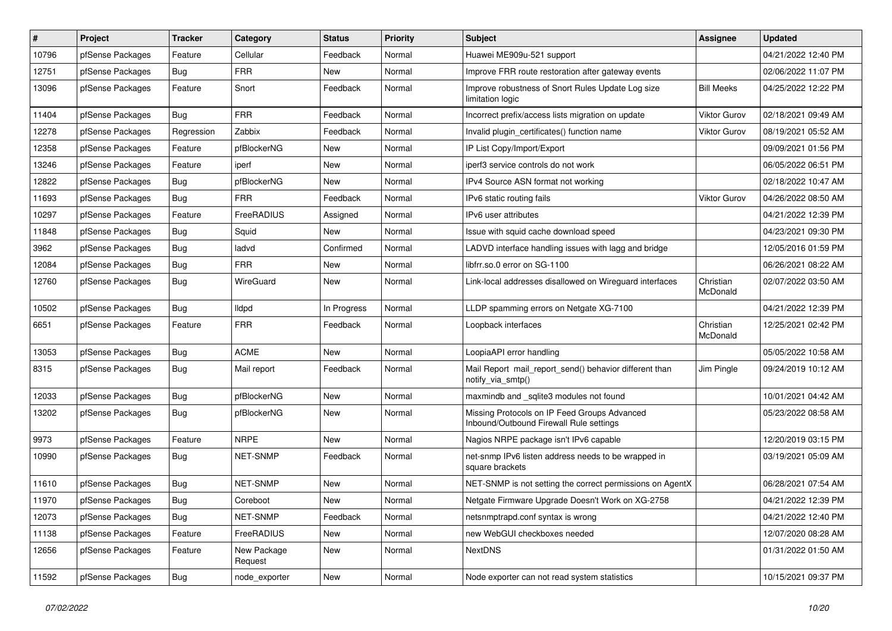| #     | Project          | <b>Tracker</b> | Category               | <b>Status</b> | <b>Priority</b> | <b>Subject</b>                                                                          | <b>Assignee</b>       | <b>Updated</b>      |
|-------|------------------|----------------|------------------------|---------------|-----------------|-----------------------------------------------------------------------------------------|-----------------------|---------------------|
| 10796 | pfSense Packages | Feature        | Cellular               | Feedback      | Normal          | Huawei ME909u-521 support                                                               |                       | 04/21/2022 12:40 PM |
| 12751 | pfSense Packages | <b>Bug</b>     | <b>FRR</b>             | <b>New</b>    | Normal          | Improve FRR route restoration after gateway events                                      |                       | 02/06/2022 11:07 PM |
| 13096 | pfSense Packages | Feature        | Snort                  | Feedback      | Normal          | Improve robustness of Snort Rules Update Log size<br>limitation logic                   | <b>Bill Meeks</b>     | 04/25/2022 12:22 PM |
| 11404 | pfSense Packages | Bug            | <b>FRR</b>             | Feedback      | Normal          | Incorrect prefix/access lists migration on update                                       | <b>Viktor Gurov</b>   | 02/18/2021 09:49 AM |
| 12278 | pfSense Packages | Regression     | Zabbix                 | Feedback      | Normal          | Invalid plugin certificates() function name                                             | <b>Viktor Gurov</b>   | 08/19/2021 05:52 AM |
| 12358 | pfSense Packages | Feature        | pfBlockerNG            | New           | Normal          | IP List Copy/Import/Export                                                              |                       | 09/09/2021 01:56 PM |
| 13246 | pfSense Packages | Feature        | iperf                  | New           | Normal          | iperf3 service controls do not work                                                     |                       | 06/05/2022 06:51 PM |
| 12822 | pfSense Packages | <b>Bug</b>     | pfBlockerNG            | <b>New</b>    | Normal          | IPv4 Source ASN format not working                                                      |                       | 02/18/2022 10:47 AM |
| 11693 | pfSense Packages | Bug            | <b>FRR</b>             | Feedback      | Normal          | IPv6 static routing fails                                                               | <b>Viktor Gurov</b>   | 04/26/2022 08:50 AM |
| 10297 | pfSense Packages | Feature        | FreeRADIUS             | Assigned      | Normal          | IPv6 user attributes                                                                    |                       | 04/21/2022 12:39 PM |
| 11848 | pfSense Packages | Bug            | Squid                  | New           | Normal          | Issue with squid cache download speed                                                   |                       | 04/23/2021 09:30 PM |
| 3962  | pfSense Packages | Bug            | ladvd                  | Confirmed     | Normal          | LADVD interface handling issues with lagg and bridge                                    |                       | 12/05/2016 01:59 PM |
| 12084 | pfSense Packages | Bug            | <b>FRR</b>             | New           | Normal          | libfrr.so.0 error on SG-1100                                                            |                       | 06/26/2021 08:22 AM |
| 12760 | pfSense Packages | Bug            | WireGuard              | <b>New</b>    | Normal          | Link-local addresses disallowed on Wireguard interfaces                                 | Christian<br>McDonald | 02/07/2022 03:50 AM |
| 10502 | pfSense Packages | <b>Bug</b>     | <b>Ildpd</b>           | In Progress   | Normal          | LLDP spamming errors on Netgate XG-7100                                                 |                       | 04/21/2022 12:39 PM |
| 6651  | pfSense Packages | Feature        | <b>FRR</b>             | Feedback      | Normal          | Loopback interfaces                                                                     | Christian<br>McDonald | 12/25/2021 02:42 PM |
| 13053 | pfSense Packages | Bug            | <b>ACME</b>            | <b>New</b>    | Normal          | LoopiaAPI error handling                                                                |                       | 05/05/2022 10:58 AM |
| 8315  | pfSense Packages | Bug            | Mail report            | Feedback      | Normal          | Mail Report mail_report_send() behavior different than<br>notify_via_smtp()             | Jim Pingle            | 09/24/2019 10:12 AM |
| 12033 | pfSense Packages | <b>Bug</b>     | pfBlockerNG            | New           | Normal          | maxmindb and _sqlite3 modules not found                                                 |                       | 10/01/2021 04:42 AM |
| 13202 | pfSense Packages | Bug            | pfBlockerNG            | New           | Normal          | Missing Protocols on IP Feed Groups Advanced<br>Inbound/Outbound Firewall Rule settings |                       | 05/23/2022 08:58 AM |
| 9973  | pfSense Packages | Feature        | <b>NRPE</b>            | New           | Normal          | Nagios NRPE package isn't IPv6 capable                                                  |                       | 12/20/2019 03:15 PM |
| 10990 | pfSense Packages | <b>Bug</b>     | NET-SNMP               | Feedback      | Normal          | net-snmp IPv6 listen address needs to be wrapped in<br>square brackets                  |                       | 03/19/2021 05:09 AM |
| 11610 | pfSense Packages | <b>Bug</b>     | NET-SNMP               | New           | Normal          | NET-SNMP is not setting the correct permissions on AgentX                               |                       | 06/28/2021 07:54 AM |
| 11970 | pfSense Packages | Bug            | Coreboot               | New           | Normal          | Netgate Firmware Upgrade Doesn't Work on XG-2758                                        |                       | 04/21/2022 12:39 PM |
| 12073 | pfSense Packages | Bug            | NET-SNMP               | Feedback      | Normal          | netsnmptrapd.conf syntax is wrong                                                       |                       | 04/21/2022 12:40 PM |
| 11138 | pfSense Packages | Feature        | FreeRADIUS             | New           | Normal          | new WebGUI checkboxes needed                                                            |                       | 12/07/2020 08:28 AM |
| 12656 | pfSense Packages | Feature        | New Package<br>Request | New           | Normal          | NextDNS                                                                                 |                       | 01/31/2022 01:50 AM |
| 11592 | pfSense Packages | <b>Bug</b>     | node_exporter          | New           | Normal          | Node exporter can not read system statistics                                            |                       | 10/15/2021 09:37 PM |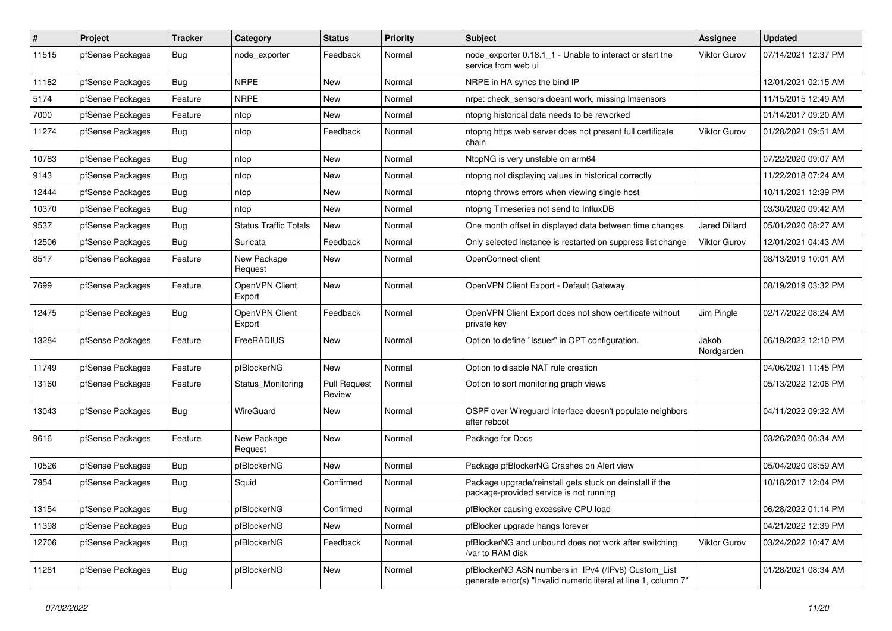| $\sharp$ | Project          | <b>Tracker</b> | Category                     | <b>Status</b>                 | <b>Priority</b> | <b>Subject</b>                                                                                                         | Assignee             | <b>Updated</b>      |
|----------|------------------|----------------|------------------------------|-------------------------------|-----------------|------------------------------------------------------------------------------------------------------------------------|----------------------|---------------------|
| 11515    | pfSense Packages | <b>Bug</b>     | node exporter                | Feedback                      | Normal          | node_exporter 0.18.1_1 - Unable to interact or start the<br>service from web ui                                        | <b>Viktor Gurov</b>  | 07/14/2021 12:37 PM |
| 11182    | pfSense Packages | Bug            | <b>NRPE</b>                  | New                           | Normal          | NRPE in HA syncs the bind IP                                                                                           |                      | 12/01/2021 02:15 AM |
| 5174     | pfSense Packages | Feature        | <b>NRPE</b>                  | New                           | Normal          | nrpe: check sensors doesnt work, missing Imsensors                                                                     |                      | 11/15/2015 12:49 AM |
| 7000     | pfSense Packages | Feature        | ntop                         | New                           | Normal          | ntopng historical data needs to be reworked                                                                            |                      | 01/14/2017 09:20 AM |
| 11274    | pfSense Packages | Bug            | ntop                         | Feedback                      | Normal          | ntopng https web server does not present full certificate<br>chain                                                     | <b>Viktor Gurov</b>  | 01/28/2021 09:51 AM |
| 10783    | pfSense Packages | <b>Bug</b>     | ntop                         | New                           | Normal          | NtopNG is very unstable on arm64                                                                                       |                      | 07/22/2020 09:07 AM |
| 9143     | pfSense Packages | <b>Bug</b>     | ntop                         | New                           | Normal          | ntopng not displaying values in historical correctly                                                                   |                      | 11/22/2018 07:24 AM |
| 12444    | pfSense Packages | Bug            | ntop                         | New                           | Normal          | ntopng throws errors when viewing single host                                                                          |                      | 10/11/2021 12:39 PM |
| 10370    | pfSense Packages | Bug            | ntop                         | New                           | Normal          | ntopng Timeseries not send to InfluxDB                                                                                 |                      | 03/30/2020 09:42 AM |
| 9537     | pfSense Packages | <b>Bug</b>     | <b>Status Traffic Totals</b> | New                           | Normal          | One month offset in displayed data between time changes                                                                | <b>Jared Dillard</b> | 05/01/2020 08:27 AM |
| 12506    | pfSense Packages | <b>Bug</b>     | Suricata                     | Feedback                      | Normal          | Only selected instance is restarted on suppress list change                                                            | Viktor Gurov         | 12/01/2021 04:43 AM |
| 8517     | pfSense Packages | Feature        | New Package<br>Request       | <b>New</b>                    | Normal          | OpenConnect client                                                                                                     |                      | 08/13/2019 10:01 AM |
| 7699     | pfSense Packages | Feature        | OpenVPN Client<br>Export     | <b>New</b>                    | Normal          | OpenVPN Client Export - Default Gateway                                                                                |                      | 08/19/2019 03:32 PM |
| 12475    | pfSense Packages | <b>Bug</b>     | OpenVPN Client<br>Export     | Feedback                      | Normal          | OpenVPN Client Export does not show certificate without<br>private key                                                 | Jim Pingle           | 02/17/2022 08:24 AM |
| 13284    | pfSense Packages | Feature        | FreeRADIUS                   | <b>New</b>                    | Normal          | Option to define "Issuer" in OPT configuration.                                                                        | Jakob<br>Nordgarden  | 06/19/2022 12:10 PM |
| 11749    | pfSense Packages | Feature        | pfBlockerNG                  | <b>New</b>                    | Normal          | Option to disable NAT rule creation                                                                                    |                      | 04/06/2021 11:45 PM |
| 13160    | pfSense Packages | Feature        | Status Monitoring            | <b>Pull Request</b><br>Review | Normal          | Option to sort monitoring graph views                                                                                  |                      | 05/13/2022 12:06 PM |
| 13043    | pfSense Packages | Bug            | WireGuard                    | <b>New</b>                    | Normal          | OSPF over Wireguard interface doesn't populate neighbors<br>after reboot                                               |                      | 04/11/2022 09:22 AM |
| 9616     | pfSense Packages | Feature        | New Package<br>Request       | <b>New</b>                    | Normal          | Package for Docs                                                                                                       |                      | 03/26/2020 06:34 AM |
| 10526    | pfSense Packages | Bug            | pfBlockerNG                  | <b>New</b>                    | Normal          | Package pfBlockerNG Crashes on Alert view                                                                              |                      | 05/04/2020 08:59 AM |
| 7954     | pfSense Packages | <b>Bug</b>     | Squid                        | Confirmed                     | Normal          | Package upgrade/reinstall gets stuck on deinstall if the<br>package-provided service is not running                    |                      | 10/18/2017 12:04 PM |
| 13154    | pfSense Packages | Bug            | pfBlockerNG                  | Confirmed                     | Normal          | pfBlocker causing excessive CPU load                                                                                   |                      | 06/28/2022 01:14 PM |
| 11398    | pfSense Packages | Bug            | pfBlockerNG                  | New                           | Normal          | pfBlocker upgrade hangs forever                                                                                        |                      | 04/21/2022 12:39 PM |
| 12706    | pfSense Packages | Bug            | pfBlockerNG                  | Feedback                      | Normal          | pfBlockerNG and unbound does not work after switching<br>/var to RAM disk                                              | <b>Viktor Gurov</b>  | 03/24/2022 10:47 AM |
| 11261    | pfSense Packages | <b>Bug</b>     | pfBlockerNG                  | New                           | Normal          | pfBlockerNG ASN numbers in IPv4 (/IPv6) Custom List<br>generate error(s) "Invalid numeric literal at line 1, column 7" |                      | 01/28/2021 08:34 AM |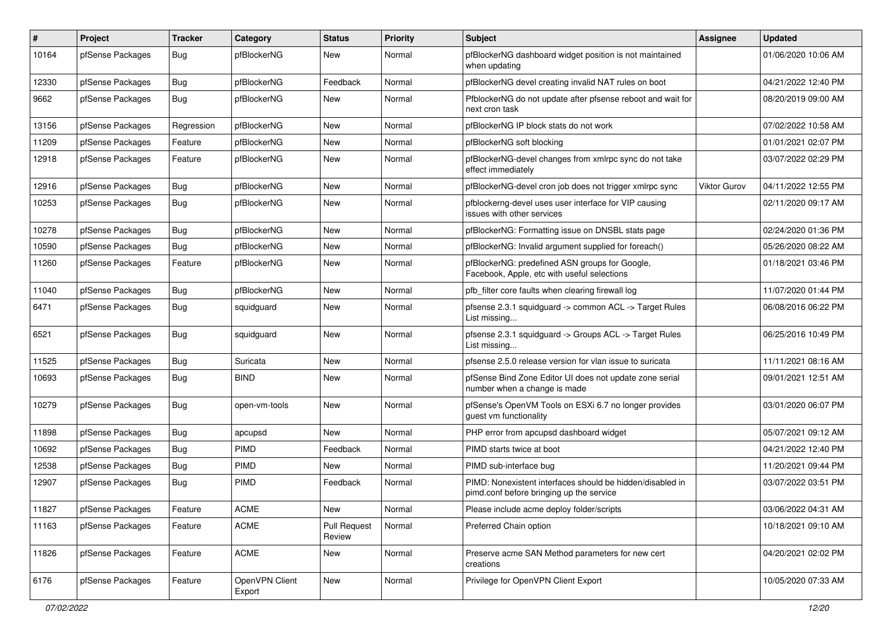| $\pmb{\#}$ | Project          | <b>Tracker</b> | Category                 | <b>Status</b>                 | <b>Priority</b> | <b>Subject</b>                                                                                        | Assignee            | <b>Updated</b>      |
|------------|------------------|----------------|--------------------------|-------------------------------|-----------------|-------------------------------------------------------------------------------------------------------|---------------------|---------------------|
| 10164      | pfSense Packages | <b>Bug</b>     | pfBlockerNG              | New                           | Normal          | pfBlockerNG dashboard widget position is not maintained<br>when updating                              |                     | 01/06/2020 10:06 AM |
| 12330      | pfSense Packages | <b>Bug</b>     | pfBlockerNG              | Feedback                      | Normal          | pfBlockerNG devel creating invalid NAT rules on boot                                                  |                     | 04/21/2022 12:40 PM |
| 9662       | pfSense Packages | <b>Bug</b>     | pfBlockerNG              | <b>New</b>                    | Normal          | PfblockerNG do not update after pfsense reboot and wait for<br>next cron task                         |                     | 08/20/2019 09:00 AM |
| 13156      | pfSense Packages | Regression     | pfBlockerNG              | New                           | Normal          | pfBlockerNG IP block stats do not work                                                                |                     | 07/02/2022 10:58 AM |
| 11209      | pfSense Packages | Feature        | pfBlockerNG              | New                           | Normal          | pfBlockerNG soft blocking                                                                             |                     | 01/01/2021 02:07 PM |
| 12918      | pfSense Packages | Feature        | pfBlockerNG              | <b>New</b>                    | Normal          | pfBlockerNG-devel changes from xmlrpc sync do not take<br>effect immediately                          |                     | 03/07/2022 02:29 PM |
| 12916      | pfSense Packages | <b>Bug</b>     | pfBlockerNG              | <b>New</b>                    | Normal          | pfBlockerNG-devel cron job does not trigger xmlrpc sync                                               | <b>Viktor Gurov</b> | 04/11/2022 12:55 PM |
| 10253      | pfSense Packages | Bug            | pfBlockerNG              | New                           | Normal          | pfblockerng-devel uses user interface for VIP causing<br>issues with other services                   |                     | 02/11/2020 09:17 AM |
| 10278      | pfSense Packages | <b>Bug</b>     | pfBlockerNG              | <b>New</b>                    | Normal          | pfBlockerNG: Formatting issue on DNSBL stats page                                                     |                     | 02/24/2020 01:36 PM |
| 10590      | pfSense Packages | <b>Bug</b>     | pfBlockerNG              | New                           | Normal          | pfBlockerNG: Invalid argument supplied for foreach()                                                  |                     | 05/26/2020 08:22 AM |
| 11260      | pfSense Packages | Feature        | pfBlockerNG              | New                           | Normal          | pfBlockerNG: predefined ASN groups for Google,<br>Facebook, Apple, etc with useful selections         |                     | 01/18/2021 03:46 PM |
| 11040      | pfSense Packages | <b>Bug</b>     | pfBlockerNG              | <b>New</b>                    | Normal          | pfb filter core faults when clearing firewall log                                                     |                     | 11/07/2020 01:44 PM |
| 6471       | pfSense Packages | Bug            | squidguard               | New                           | Normal          | pfsense 2.3.1 squidguard -> common ACL -> Target Rules<br>List missing                                |                     | 06/08/2016 06:22 PM |
| 6521       | pfSense Packages | <b>Bug</b>     | squidguard               | New                           | Normal          | pfsense 2.3.1 squidguard -> Groups ACL -> Target Rules<br>List missing                                |                     | 06/25/2016 10:49 PM |
| 11525      | pfSense Packages | <b>Bug</b>     | Suricata                 | New                           | Normal          | pfsense 2.5.0 release version for vlan issue to suricata                                              |                     | 11/11/2021 08:16 AM |
| 10693      | pfSense Packages | <b>Bug</b>     | <b>BIND</b>              | New                           | Normal          | pfSense Bind Zone Editor UI does not update zone serial<br>number when a change is made               |                     | 09/01/2021 12:51 AM |
| 10279      | pfSense Packages | <b>Bug</b>     | open-vm-tools            | <b>New</b>                    | Normal          | pfSense's OpenVM Tools on ESXi 6.7 no longer provides<br>guest vm functionality                       |                     | 03/01/2020 06:07 PM |
| 11898      | pfSense Packages | <b>Bug</b>     | apcupsd                  | <b>New</b>                    | Normal          | PHP error from apcupsd dashboard widget                                                               |                     | 05/07/2021 09:12 AM |
| 10692      | pfSense Packages | <b>Bug</b>     | PIMD                     | Feedback                      | Normal          | PIMD starts twice at boot                                                                             |                     | 04/21/2022 12:40 PM |
| 12538      | pfSense Packages | <b>Bug</b>     | PIMD                     | New                           | Normal          | PIMD sub-interface bug                                                                                |                     | 11/20/2021 09:44 PM |
| 12907      | pfSense Packages | <b>Bug</b>     | <b>PIMD</b>              | Feedback                      | Normal          | PIMD: Nonexistent interfaces should be hidden/disabled in<br>pimd.conf before bringing up the service |                     | 03/07/2022 03:51 PM |
| 11827      | pfSense Packages | Feature        | ACME                     | New                           | Normal          | Please include acme deploy folder/scripts                                                             |                     | 03/06/2022 04:31 AM |
| 11163      | pfSense Packages | Feature        | <b>ACME</b>              | <b>Pull Request</b><br>Review | Normal          | Preferred Chain option                                                                                |                     | 10/18/2021 09:10 AM |
| 11826      | pfSense Packages | Feature        | <b>ACME</b>              | <b>New</b>                    | Normal          | Preserve acme SAN Method parameters for new cert<br>creations                                         |                     | 04/20/2021 02:02 PM |
| 6176       | pfSense Packages | Feature        | OpenVPN Client<br>Export | New                           | Normal          | Privilege for OpenVPN Client Export                                                                   |                     | 10/05/2020 07:33 AM |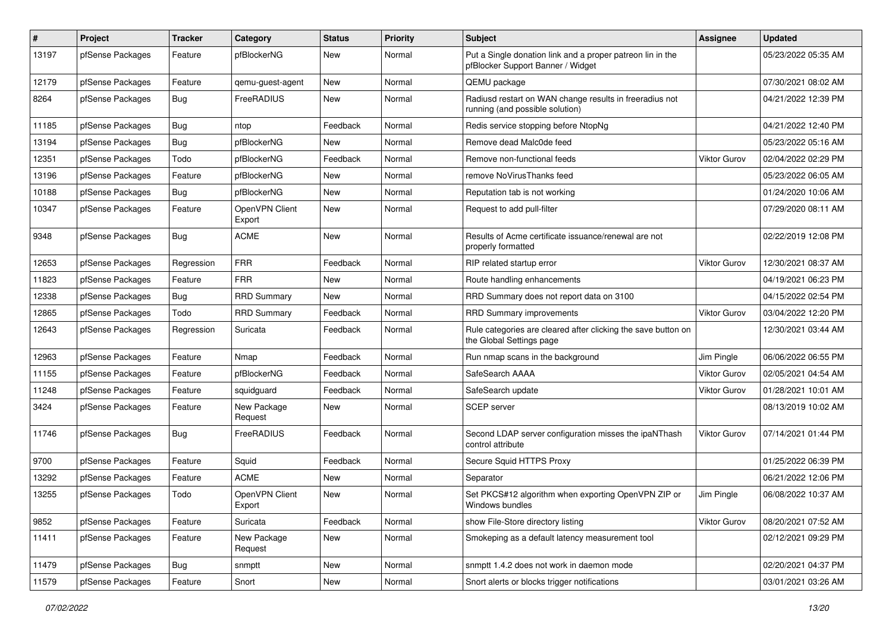| $\pmb{\#}$ | Project          | <b>Tracker</b> | Category                 | <b>Status</b> | Priority | <b>Subject</b>                                                                                  | <b>Assignee</b>     | <b>Updated</b>      |
|------------|------------------|----------------|--------------------------|---------------|----------|-------------------------------------------------------------------------------------------------|---------------------|---------------------|
| 13197      | pfSense Packages | Feature        | pfBlockerNG              | <b>New</b>    | Normal   | Put a Single donation link and a proper patreon lin in the<br>pfBlocker Support Banner / Widget |                     | 05/23/2022 05:35 AM |
| 12179      | pfSense Packages | Feature        | qemu-guest-agent         | New           | Normal   | QEMU package                                                                                    |                     | 07/30/2021 08:02 AM |
| 8264       | pfSense Packages | Bug            | FreeRADIUS               | New           | Normal   | Radiusd restart on WAN change results in freeradius not<br>running (and possible solution)      |                     | 04/21/2022 12:39 PM |
| 11185      | pfSense Packages | <b>Bug</b>     | ntop                     | Feedback      | Normal   | Redis service stopping before NtopNg                                                            |                     | 04/21/2022 12:40 PM |
| 13194      | pfSense Packages | <b>Bug</b>     | pfBlockerNG              | New           | Normal   | Remove dead Malc0de feed                                                                        |                     | 05/23/2022 05:16 AM |
| 12351      | pfSense Packages | Todo           | pfBlockerNG              | Feedback      | Normal   | Remove non-functional feeds                                                                     | Viktor Gurov        | 02/04/2022 02:29 PM |
| 13196      | pfSense Packages | Feature        | pfBlockerNG              | <b>New</b>    | Normal   | remove NoVirusThanks feed                                                                       |                     | 05/23/2022 06:05 AM |
| 10188      | pfSense Packages | <b>Bug</b>     | pfBlockerNG              | <b>New</b>    | Normal   | Reputation tab is not working                                                                   |                     | 01/24/2020 10:06 AM |
| 10347      | pfSense Packages | Feature        | OpenVPN Client<br>Export | New           | Normal   | Request to add pull-filter                                                                      |                     | 07/29/2020 08:11 AM |
| 9348       | pfSense Packages | <b>Bug</b>     | <b>ACME</b>              | New           | Normal   | Results of Acme certificate issuance/renewal are not<br>properly formatted                      |                     | 02/22/2019 12:08 PM |
| 12653      | pfSense Packages | Regression     | <b>FRR</b>               | Feedback      | Normal   | RIP related startup error                                                                       | Viktor Gurov        | 12/30/2021 08:37 AM |
| 11823      | pfSense Packages | Feature        | <b>FRR</b>               | New           | Normal   | Route handling enhancements                                                                     |                     | 04/19/2021 06:23 PM |
| 12338      | pfSense Packages | <b>Bug</b>     | <b>RRD Summary</b>       | New           | Normal   | RRD Summary does not report data on 3100                                                        |                     | 04/15/2022 02:54 PM |
| 12865      | pfSense Packages | Todo           | <b>RRD Summary</b>       | Feedback      | Normal   | RRD Summary improvements                                                                        | Viktor Gurov        | 03/04/2022 12:20 PM |
| 12643      | pfSense Packages | Regression     | Suricata                 | Feedback      | Normal   | Rule categories are cleared after clicking the save button on<br>the Global Settings page       |                     | 12/30/2021 03:44 AM |
| 12963      | pfSense Packages | Feature        | Nmap                     | Feedback      | Normal   | Run nmap scans in the background                                                                | Jim Pingle          | 06/06/2022 06:55 PM |
| 11155      | pfSense Packages | Feature        | pfBlockerNG              | Feedback      | Normal   | SafeSearch AAAA                                                                                 | Viktor Gurov        | 02/05/2021 04:54 AM |
| 11248      | pfSense Packages | Feature        | squidguard               | Feedback      | Normal   | SafeSearch update                                                                               | Viktor Gurov        | 01/28/2021 10:01 AM |
| 3424       | pfSense Packages | Feature        | New Package<br>Request   | New           | Normal   | <b>SCEP</b> server                                                                              |                     | 08/13/2019 10:02 AM |
| 11746      | pfSense Packages | <b>Bug</b>     | FreeRADIUS               | Feedback      | Normal   | Second LDAP server configuration misses the ipaNThash<br>control attribute                      | Viktor Gurov        | 07/14/2021 01:44 PM |
| 9700       | pfSense Packages | Feature        | Squid                    | Feedback      | Normal   | Secure Squid HTTPS Proxy                                                                        |                     | 01/25/2022 06:39 PM |
| 13292      | pfSense Packages | Feature        | <b>ACME</b>              | <b>New</b>    | Normal   | Separator                                                                                       |                     | 06/21/2022 12:06 PM |
| 13255      | pfSense Packages | Todo           | OpenVPN Client<br>Export | New           | Normal   | Set PKCS#12 algorithm when exporting OpenVPN ZIP or<br>Windows bundles                          | Jim Pingle          | 06/08/2022 10:37 AM |
| 9852       | pfSense Packages | Feature        | Suricata                 | Feedback      | Normal   | show File-Store directory listing                                                               | <b>Viktor Gurov</b> | 08/20/2021 07:52 AM |
| 11411      | pfSense Packages | Feature        | New Package<br>Request   | New           | Normal   | Smokeping as a default latency measurement tool                                                 |                     | 02/12/2021 09:29 PM |
| 11479      | pfSense Packages | Bug            | snmptt                   | New           | Normal   | snmptt 1.4.2 does not work in daemon mode                                                       |                     | 02/20/2021 04:37 PM |
| 11579      | pfSense Packages | Feature        | Snort                    | New           | Normal   | Snort alerts or blocks trigger notifications                                                    |                     | 03/01/2021 03:26 AM |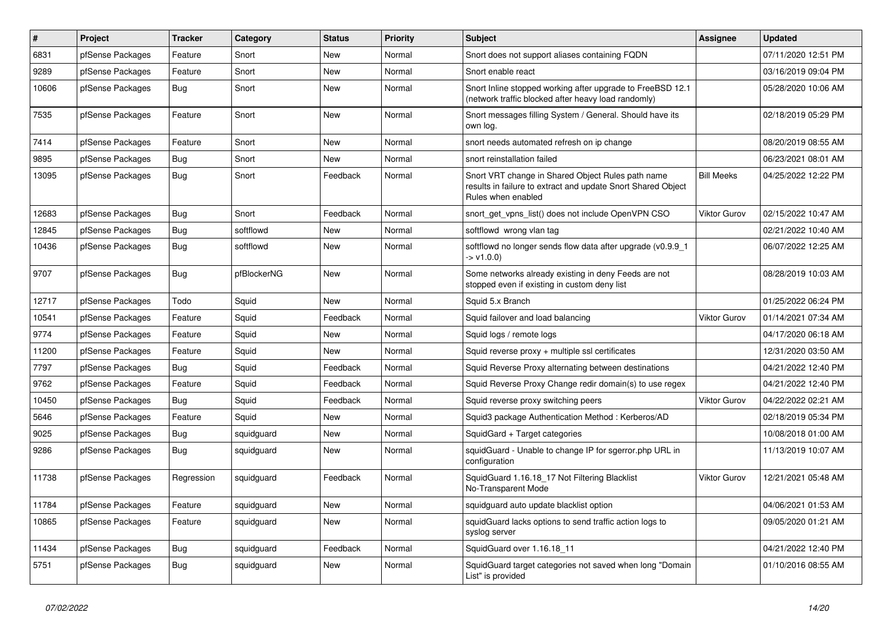| $\pmb{\#}$ | Project          | <b>Tracker</b> | Category    | <b>Status</b> | <b>Priority</b> | <b>Subject</b>                                                                                                                          | Assignee            | <b>Updated</b>      |
|------------|------------------|----------------|-------------|---------------|-----------------|-----------------------------------------------------------------------------------------------------------------------------------------|---------------------|---------------------|
| 6831       | pfSense Packages | Feature        | Snort       | <b>New</b>    | Normal          | Snort does not support aliases containing FQDN                                                                                          |                     | 07/11/2020 12:51 PM |
| 9289       | pfSense Packages | Feature        | Snort       | <b>New</b>    | Normal          | Snort enable react                                                                                                                      |                     | 03/16/2019 09:04 PM |
| 10606      | pfSense Packages | Bug            | Snort       | New           | Normal          | Snort Inline stopped working after upgrade to FreeBSD 12.1<br>(network traffic blocked after heavy load randomly)                       |                     | 05/28/2020 10:06 AM |
| 7535       | pfSense Packages | Feature        | Snort       | New           | Normal          | Snort messages filling System / General. Should have its<br>own log.                                                                    |                     | 02/18/2019 05:29 PM |
| 7414       | pfSense Packages | Feature        | Snort       | <b>New</b>    | Normal          | snort needs automated refresh on ip change                                                                                              |                     | 08/20/2019 08:55 AM |
| 9895       | pfSense Packages | <b>Bug</b>     | Snort       | <b>New</b>    | Normal          | snort reinstallation failed                                                                                                             |                     | 06/23/2021 08:01 AM |
| 13095      | pfSense Packages | <b>Bug</b>     | Snort       | Feedback      | Normal          | Snort VRT change in Shared Object Rules path name<br>results in failure to extract and update Snort Shared Object<br>Rules when enabled | <b>Bill Meeks</b>   | 04/25/2022 12:22 PM |
| 12683      | pfSense Packages | Bug            | Snort       | Feedback      | Normal          | snort get vpns list() does not include OpenVPN CSO                                                                                      | Viktor Gurov        | 02/15/2022 10:47 AM |
| 12845      | pfSense Packages | Bug            | softflowd   | New           | Normal          | softflowd wrong vlan tag                                                                                                                |                     | 02/21/2022 10:40 AM |
| 10436      | pfSense Packages | Bug            | softflowd   | <b>New</b>    | Normal          | softflowd no longer sends flow data after upgrade (v0.9.9 1<br>$-y1.0.0$                                                                |                     | 06/07/2022 12:25 AM |
| 9707       | pfSense Packages | <b>Bug</b>     | pfBlockerNG | <b>New</b>    | Normal          | Some networks already existing in deny Feeds are not<br>stopped even if existing in custom deny list                                    |                     | 08/28/2019 10:03 AM |
| 12717      | pfSense Packages | Todo           | Squid       | <b>New</b>    | Normal          | Squid 5.x Branch                                                                                                                        |                     | 01/25/2022 06:24 PM |
| 10541      | pfSense Packages | Feature        | Squid       | Feedback      | Normal          | Squid failover and load balancing                                                                                                       | <b>Viktor Gurov</b> | 01/14/2021 07:34 AM |
| 9774       | pfSense Packages | Feature        | Squid       | New           | Normal          | Squid logs / remote logs                                                                                                                |                     | 04/17/2020 06:18 AM |
| 11200      | pfSense Packages | Feature        | Squid       | New           | Normal          | Squid reverse proxy + multiple ssl certificates                                                                                         |                     | 12/31/2020 03:50 AM |
| 7797       | pfSense Packages | Bug            | Squid       | Feedback      | Normal          | Squid Reverse Proxy alternating between destinations                                                                                    |                     | 04/21/2022 12:40 PM |
| 9762       | pfSense Packages | Feature        | Squid       | Feedback      | Normal          | Squid Reverse Proxy Change redir domain(s) to use regex                                                                                 |                     | 04/21/2022 12:40 PM |
| 10450      | pfSense Packages | Bug            | Squid       | Feedback      | Normal          | Squid reverse proxy switching peers                                                                                                     | <b>Viktor Gurov</b> | 04/22/2022 02:21 AM |
| 5646       | pfSense Packages | Feature        | Squid       | <b>New</b>    | Normal          | Squid3 package Authentication Method: Kerberos/AD                                                                                       |                     | 02/18/2019 05:34 PM |
| 9025       | pfSense Packages | <b>Bug</b>     | squidguard  | <b>New</b>    | Normal          | SquidGard + Target categories                                                                                                           |                     | 10/08/2018 01:00 AM |
| 9286       | pfSense Packages | Bug            | squidguard  | <b>New</b>    | Normal          | squidGuard - Unable to change IP for sgerror.php URL in<br>configuration                                                                |                     | 11/13/2019 10:07 AM |
| 11738      | pfSense Packages | Regression     | squidguard  | Feedback      | Normal          | SquidGuard 1.16.18 17 Not Filtering Blacklist<br>No-Transparent Mode                                                                    | Viktor Gurov        | 12/21/2021 05:48 AM |
| 11784      | pfSense Packages | Feature        | squidguard  | <b>New</b>    | Normal          | squidguard auto update blacklist option                                                                                                 |                     | 04/06/2021 01:53 AM |
| 10865      | pfSense Packages | Feature        | squidguard  | <b>New</b>    | Normal          | squidGuard lacks options to send traffic action logs to<br>syslog server                                                                |                     | 09/05/2020 01:21 AM |
| 11434      | pfSense Packages | Bug            | squidguard  | Feedback      | Normal          | SquidGuard over 1.16.18 11                                                                                                              |                     | 04/21/2022 12:40 PM |
| 5751       | pfSense Packages | Bug            | squidguard  | <b>New</b>    | Normal          | SquidGuard target categories not saved when long "Domain<br>List" is provided                                                           |                     | 01/10/2016 08:55 AM |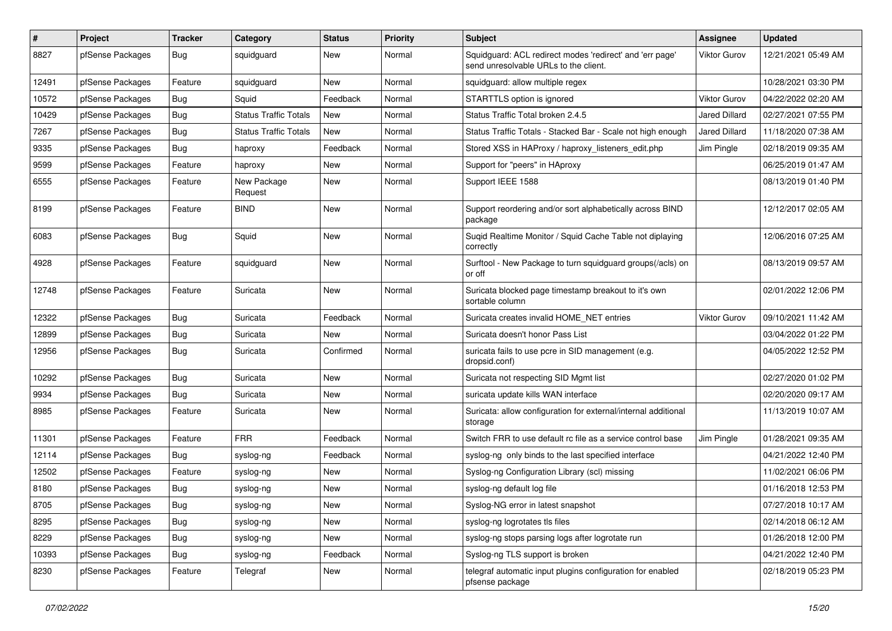| $\pmb{\#}$ | Project          | <b>Tracker</b> | Category                     | <b>Status</b> | <b>Priority</b> | <b>Subject</b>                                                                                    | <b>Assignee</b>      | <b>Updated</b>      |
|------------|------------------|----------------|------------------------------|---------------|-----------------|---------------------------------------------------------------------------------------------------|----------------------|---------------------|
| 8827       | pfSense Packages | <b>Bug</b>     | squidguard                   | New           | Normal          | Squidguard: ACL redirect modes 'redirect' and 'err page'<br>send unresolvable URLs to the client. | Viktor Gurov         | 12/21/2021 05:49 AM |
| 12491      | pfSense Packages | Feature        | squidquard                   | New           | Normal          | squidguard: allow multiple regex                                                                  |                      | 10/28/2021 03:30 PM |
| 10572      | pfSense Packages | Bug            | Squid                        | Feedback      | Normal          | STARTTLS option is ignored                                                                        | <b>Viktor Gurov</b>  | 04/22/2022 02:20 AM |
| 10429      | pfSense Packages | Bug            | <b>Status Traffic Totals</b> | New           | Normal          | Status Traffic Total broken 2.4.5                                                                 | Jared Dillard        | 02/27/2021 07:55 PM |
| 7267       | pfSense Packages | <b>Bug</b>     | Status Traffic Totals        | New           | Normal          | Status Traffic Totals - Stacked Bar - Scale not high enough                                       | <b>Jared Dillard</b> | 11/18/2020 07:38 AM |
| 9335       | pfSense Packages | Bug            | haproxy                      | Feedback      | Normal          | Stored XSS in HAProxy / haproxy listeners edit.php                                                | Jim Pingle           | 02/18/2019 09:35 AM |
| 9599       | pfSense Packages | Feature        | haproxy                      | New           | Normal          | Support for "peers" in HAproxy                                                                    |                      | 06/25/2019 01:47 AM |
| 6555       | pfSense Packages | Feature        | New Package<br>Request       | New           | Normal          | Support IEEE 1588                                                                                 |                      | 08/13/2019 01:40 PM |
| 8199       | pfSense Packages | Feature        | <b>BIND</b>                  | New           | Normal          | Support reordering and/or sort alphabetically across BIND<br>package                              |                      | 12/12/2017 02:05 AM |
| 6083       | pfSense Packages | <b>Bug</b>     | Squid                        | <b>New</b>    | Normal          | Suqid Realtime Monitor / Squid Cache Table not diplaying<br>correctly                             |                      | 12/06/2016 07:25 AM |
| 4928       | pfSense Packages | Feature        | squidguard                   | New           | Normal          | Surftool - New Package to turn squidguard groups(/acls) on<br>or off                              |                      | 08/13/2019 09:57 AM |
| 12748      | pfSense Packages | Feature        | Suricata                     | New           | Normal          | Suricata blocked page timestamp breakout to it's own<br>sortable column                           |                      | 02/01/2022 12:06 PM |
| 12322      | pfSense Packages | Bug            | Suricata                     | Feedback      | Normal          | Suricata creates invalid HOME NET entries                                                         | <b>Viktor Gurov</b>  | 09/10/2021 11:42 AM |
| 12899      | pfSense Packages | Bug            | Suricata                     | New           | Normal          | Suricata doesn't honor Pass List                                                                  |                      | 03/04/2022 01:22 PM |
| 12956      | pfSense Packages | <b>Bug</b>     | Suricata                     | Confirmed     | Normal          | suricata fails to use pcre in SID management (e.g.<br>dropsid.conf)                               |                      | 04/05/2022 12:52 PM |
| 10292      | pfSense Packages | Bug            | Suricata                     | New           | Normal          | Suricata not respecting SID Mgmt list                                                             |                      | 02/27/2020 01:02 PM |
| 9934       | pfSense Packages | <b>Bug</b>     | Suricata                     | New           | Normal          | suricata update kills WAN interface                                                               |                      | 02/20/2020 09:17 AM |
| 8985       | pfSense Packages | Feature        | Suricata                     | New           | Normal          | Suricata: allow configuration for external/internal additional<br>storage                         |                      | 11/13/2019 10:07 AM |
| 11301      | pfSense Packages | Feature        | <b>FRR</b>                   | Feedback      | Normal          | Switch FRR to use default rc file as a service control base                                       | Jim Pingle           | 01/28/2021 09:35 AM |
| 12114      | pfSense Packages | <b>Bug</b>     | syslog-ng                    | Feedback      | Normal          | syslog-ng only binds to the last specified interface                                              |                      | 04/21/2022 12:40 PM |
| 12502      | pfSense Packages | Feature        | syslog-ng                    | New           | Normal          | Syslog-ng Configuration Library (scl) missing                                                     |                      | 11/02/2021 06:06 PM |
| 8180       | pfSense Packages | Bug            | syslog-ng                    | New           | Normal          | syslog-ng default log file                                                                        |                      | 01/16/2018 12:53 PM |
| 8705       | pfSense Packages | <b>Bug</b>     | syslog-ng                    | New           | Normal          | Syslog-NG error in latest snapshot                                                                |                      | 07/27/2018 10:17 AM |
| 8295       | pfSense Packages | Bug            | syslog-ng                    | New           | Normal          | syslog-ng logrotates tls files                                                                    |                      | 02/14/2018 06:12 AM |
| 8229       | pfSense Packages | Bug            | syslog-ng                    | New           | Normal          | syslog-ng stops parsing logs after logrotate run                                                  |                      | 01/26/2018 12:00 PM |
| 10393      | pfSense Packages | <b>Bug</b>     | syslog-ng                    | Feedback      | Normal          | Syslog-ng TLS support is broken                                                                   |                      | 04/21/2022 12:40 PM |
| 8230       | pfSense Packages | Feature        | Telegraf                     | New           | Normal          | telegraf automatic input plugins configuration for enabled<br>pfsense package                     |                      | 02/18/2019 05:23 PM |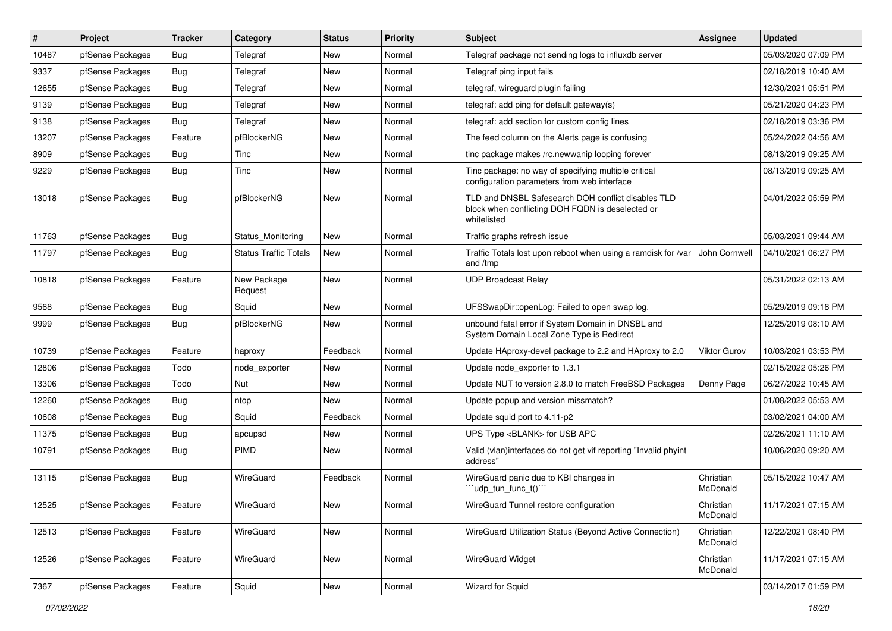| #     | Project          | <b>Tracker</b> | Category                     | <b>Status</b> | <b>Priority</b> | Subject                                                                                                               | Assignee              | <b>Updated</b>      |
|-------|------------------|----------------|------------------------------|---------------|-----------------|-----------------------------------------------------------------------------------------------------------------------|-----------------------|---------------------|
| 10487 | pfSense Packages | <b>Bug</b>     | Telegraf                     | New           | Normal          | Telegraf package not sending logs to influxdb server                                                                  |                       | 05/03/2020 07:09 PM |
| 9337  | pfSense Packages | <b>Bug</b>     | Telegraf                     | New           | Normal          | Telegraf ping input fails                                                                                             |                       | 02/18/2019 10:40 AM |
| 12655 | pfSense Packages | Bug            | Telegraf                     | New           | Normal          | telegraf, wireguard plugin failing                                                                                    |                       | 12/30/2021 05:51 PM |
| 9139  | pfSense Packages | Bug            | Telegraf                     | New           | Normal          | telegraf: add ping for default gateway(s)                                                                             |                       | 05/21/2020 04:23 PM |
| 9138  | pfSense Packages | Bug            | Telegraf                     | <b>New</b>    | Normal          | telegraf: add section for custom config lines                                                                         |                       | 02/18/2019 03:36 PM |
| 13207 | pfSense Packages | Feature        | pfBlockerNG                  | New           | Normal          | The feed column on the Alerts page is confusing                                                                       |                       | 05/24/2022 04:56 AM |
| 8909  | pfSense Packages | Bug            | Tinc                         | New           | Normal          | tinc package makes /rc.newwanip looping forever                                                                       |                       | 08/13/2019 09:25 AM |
| 9229  | pfSense Packages | Bug            | Tinc                         | New           | Normal          | Tinc package: no way of specifying multiple critical<br>configuration parameters from web interface                   |                       | 08/13/2019 09:25 AM |
| 13018 | pfSense Packages | Bug            | pfBlockerNG                  | New           | Normal          | TLD and DNSBL Safesearch DOH conflict disables TLD<br>block when conflicting DOH FQDN is deselected or<br>whitelisted |                       | 04/01/2022 05:59 PM |
| 11763 | pfSense Packages | Bug            | Status Monitoring            | New           | Normal          | Traffic graphs refresh issue                                                                                          |                       | 05/03/2021 09:44 AM |
| 11797 | pfSense Packages | Bug            | <b>Status Traffic Totals</b> | New           | Normal          | Traffic Totals lost upon reboot when using a ramdisk for /var<br>and /tmp                                             | John Cornwell         | 04/10/2021 06:27 PM |
| 10818 | pfSense Packages | Feature        | New Package<br>Request       | New           | Normal          | <b>UDP Broadcast Relay</b>                                                                                            |                       | 05/31/2022 02:13 AM |
| 9568  | pfSense Packages | Bug            | Squid                        | <b>New</b>    | Normal          | UFSSwapDir::openLog: Failed to open swap log.                                                                         |                       | 05/29/2019 09:18 PM |
| 9999  | pfSense Packages | Bug            | pfBlockerNG                  | New           | Normal          | unbound fatal error if System Domain in DNSBL and<br>System Domain Local Zone Type is Redirect                        |                       | 12/25/2019 08:10 AM |
| 10739 | pfSense Packages | Feature        | haproxy                      | Feedback      | Normal          | Update HAproxy-devel package to 2.2 and HAproxy to 2.0                                                                | <b>Viktor Gurov</b>   | 10/03/2021 03:53 PM |
| 12806 | pfSense Packages | Todo           | node exporter                | New           | Normal          | Update node exporter to 1.3.1                                                                                         |                       | 02/15/2022 05:26 PM |
| 13306 | pfSense Packages | Todo           | <b>Nut</b>                   | <b>New</b>    | Normal          | Update NUT to version 2.8.0 to match FreeBSD Packages                                                                 | Denny Page            | 06/27/2022 10:45 AM |
| 12260 | pfSense Packages | <b>Bug</b>     | ntop                         | <b>New</b>    | Normal          | Update popup and version missmatch?                                                                                   |                       | 01/08/2022 05:53 AM |
| 10608 | pfSense Packages | Bug            | Squid                        | Feedback      | Normal          | Update squid port to 4.11-p2                                                                                          |                       | 03/02/2021 04:00 AM |
| 11375 | pfSense Packages | <b>Bug</b>     | apcupsd                      | New           | Normal          | UPS Type <blank> for USB APC</blank>                                                                                  |                       | 02/26/2021 11:10 AM |
| 10791 | pfSense Packages | Bug            | PIMD                         | New           | Normal          | Valid (vlan)interfaces do not get vif reporting "Invalid phyint<br>address"                                           |                       | 10/06/2020 09:20 AM |
| 13115 | pfSense Packages | Bug            | WireGuard                    | Feedback      | Normal          | WireGuard panic due to KBI changes in<br>"udp_tun_func_t()"                                                           | Christian<br>McDonald | 05/15/2022 10:47 AM |
| 12525 | pfSense Packages | Feature        | WireGuard                    | New           | Normal          | WireGuard Tunnel restore configuration                                                                                | Christian<br>McDonald | 11/17/2021 07:15 AM |
| 12513 | pfSense Packages | Feature        | WireGuard                    | New           | Normal          | WireGuard Utilization Status (Beyond Active Connection)                                                               | Christian<br>McDonald | 12/22/2021 08:40 PM |
| 12526 | pfSense Packages | Feature        | WireGuard                    | New           | Normal          | <b>WireGuard Widget</b>                                                                                               | Christian<br>McDonald | 11/17/2021 07:15 AM |
| 7367  | pfSense Packages | Feature        | Squid                        | New           | Normal          | Wizard for Squid                                                                                                      |                       | 03/14/2017 01:59 PM |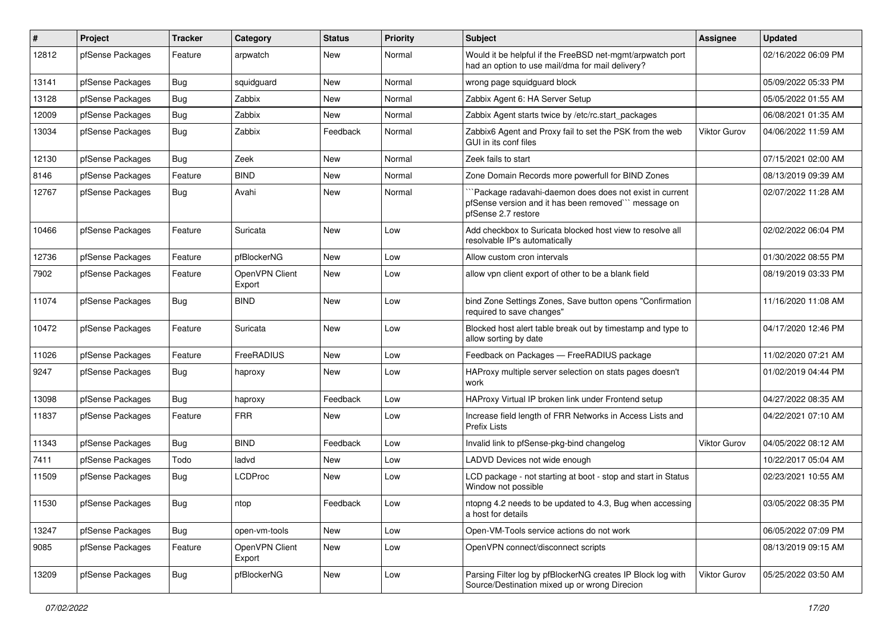| #     | Project          | <b>Tracker</b> | Category                 | <b>Status</b> | <b>Priority</b> | <b>Subject</b>                                                                                                                         | Assignee            | <b>Updated</b>      |
|-------|------------------|----------------|--------------------------|---------------|-----------------|----------------------------------------------------------------------------------------------------------------------------------------|---------------------|---------------------|
| 12812 | pfSense Packages | Feature        | arpwatch                 | New           | Normal          | Would it be helpful if the FreeBSD net-mgmt/arpwatch port<br>had an option to use mail/dma for mail delivery?                          |                     | 02/16/2022 06:09 PM |
| 13141 | pfSense Packages | Bug            | squidguard               | New           | Normal          | wrong page squidguard block                                                                                                            |                     | 05/09/2022 05:33 PM |
| 13128 | pfSense Packages | Bug            | Zabbix                   | New           | Normal          | Zabbix Agent 6: HA Server Setup                                                                                                        |                     | 05/05/2022 01:55 AM |
| 12009 | pfSense Packages | Bug            | Zabbix                   | New           | Normal          | Zabbix Agent starts twice by /etc/rc.start packages                                                                                    |                     | 06/08/2021 01:35 AM |
| 13034 | pfSense Packages | <b>Bug</b>     | Zabbix                   | Feedback      | Normal          | Zabbix6 Agent and Proxy fail to set the PSK from the web<br>GUI in its conf files                                                      | <b>Viktor Gurov</b> | 04/06/2022 11:59 AM |
| 12130 | pfSense Packages | Bug            | Zeek                     | New           | Normal          | Zeek fails to start                                                                                                                    |                     | 07/15/2021 02:00 AM |
| 8146  | pfSense Packages | Feature        | <b>BIND</b>              | New           | Normal          | Zone Domain Records more powerfull for BIND Zones                                                                                      |                     | 08/13/2019 09:39 AM |
| 12767 | pfSense Packages | <b>Bug</b>     | Avahi                    | New           | Normal          | "Package radavahi-daemon does does not exist in current<br>pfSense version and it has been removed"" message on<br>pfSense 2.7 restore |                     | 02/07/2022 11:28 AM |
| 10466 | pfSense Packages | Feature        | Suricata                 | <b>New</b>    | Low             | Add checkbox to Suricata blocked host view to resolve all<br>resolvable IP's automatically                                             |                     | 02/02/2022 06:04 PM |
| 12736 | pfSense Packages | Feature        | pfBlockerNG              | New           | Low             | Allow custom cron intervals                                                                                                            |                     | 01/30/2022 08:55 PM |
| 7902  | pfSense Packages | Feature        | OpenVPN Client<br>Export | New           | Low             | allow vpn client export of other to be a blank field                                                                                   |                     | 08/19/2019 03:33 PM |
| 11074 | pfSense Packages | <b>Bug</b>     | <b>BIND</b>              | New           | Low             | bind Zone Settings Zones, Save button opens "Confirmation<br>required to save changes"                                                 |                     | 11/16/2020 11:08 AM |
| 10472 | pfSense Packages | Feature        | Suricata                 | New           | Low             | Blocked host alert table break out by timestamp and type to<br>allow sorting by date                                                   |                     | 04/17/2020 12:46 PM |
| 11026 | pfSense Packages | Feature        | FreeRADIUS               | New           | Low             | Feedback on Packages - FreeRADIUS package                                                                                              |                     | 11/02/2020 07:21 AM |
| 9247  | pfSense Packages | Bug            | haproxy                  | New           | Low             | HAProxy multiple server selection on stats pages doesn't<br>work                                                                       |                     | 01/02/2019 04:44 PM |
| 13098 | pfSense Packages | <b>Bug</b>     | haproxy                  | Feedback      | Low             | HAProxy Virtual IP broken link under Frontend setup                                                                                    |                     | 04/27/2022 08:35 AM |
| 11837 | pfSense Packages | Feature        | <b>FRR</b>               | New           | Low             | Increase field length of FRR Networks in Access Lists and<br><b>Prefix Lists</b>                                                       |                     | 04/22/2021 07:10 AM |
| 11343 | pfSense Packages | Bug            | <b>BIND</b>              | Feedback      | Low             | Invalid link to pfSense-pkg-bind changelog                                                                                             | <b>Viktor Gurov</b> | 04/05/2022 08:12 AM |
| 7411  | pfSense Packages | Todo           | ladvd                    | New           | Low             | LADVD Devices not wide enough                                                                                                          |                     | 10/22/2017 05:04 AM |
| 11509 | pfSense Packages | Bug            | <b>LCDProc</b>           | New           | Low             | LCD package - not starting at boot - stop and start in Status<br>Window not possible                                                   |                     | 02/23/2021 10:55 AM |
| 11530 | pfSense Packages | <b>Bug</b>     | ntop                     | Feedback      | Low             | ntopng 4.2 needs to be updated to 4.3, Bug when accessing<br>a host for details                                                        |                     | 03/05/2022 08:35 PM |
| 13247 | pfSense Packages | <b>Bug</b>     | open-vm-tools            | New           | Low             | Open-VM-Tools service actions do not work                                                                                              |                     | 06/05/2022 07:09 PM |
| 9085  | pfSense Packages | Feature        | OpenVPN Client<br>Export | New           | Low             | OpenVPN connect/disconnect scripts                                                                                                     |                     | 08/13/2019 09:15 AM |
| 13209 | pfSense Packages | <b>Bug</b>     | pfBlockerNG              | New           | Low             | Parsing Filter log by pfBlockerNG creates IP Block log with<br>Source/Destination mixed up or wrong Direcion                           | Viktor Gurov        | 05/25/2022 03:50 AM |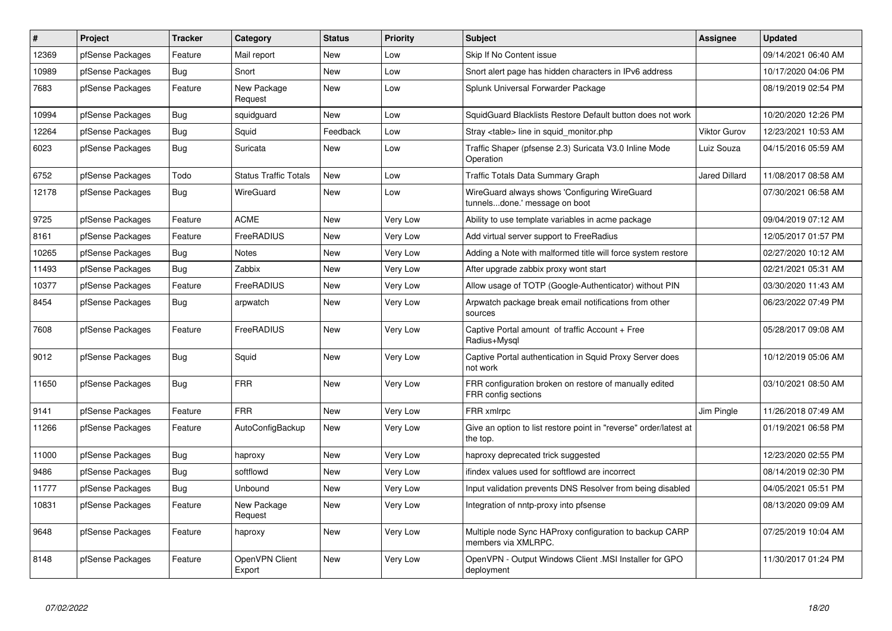| $\vert$ # | <b>Project</b>   | <b>Tracker</b> | Category                     | <b>Status</b> | Priority        | <b>Subject</b>                                                                 | Assignee             | <b>Updated</b>      |
|-----------|------------------|----------------|------------------------------|---------------|-----------------|--------------------------------------------------------------------------------|----------------------|---------------------|
| 12369     | pfSense Packages | Feature        | Mail report                  | <b>New</b>    | Low             | Skip If No Content issue                                                       |                      | 09/14/2021 06:40 AM |
| 10989     | pfSense Packages | Bug            | Snort                        | <b>New</b>    | Low             | Snort alert page has hidden characters in IPv6 address                         |                      | 10/17/2020 04:06 PM |
| 7683      | pfSense Packages | Feature        | New Package<br>Request       | New           | Low             | Splunk Universal Forwarder Package                                             |                      | 08/19/2019 02:54 PM |
| 10994     | pfSense Packages | <b>Bug</b>     | squidguard                   | <b>New</b>    | Low             | SquidGuard Blacklists Restore Default button does not work                     |                      | 10/20/2020 12:26 PM |
| 12264     | pfSense Packages | <b>Bug</b>     | Squid                        | Feedback      | Low             | Stray <table> line in squid monitor.php</table>                                | <b>Viktor Gurov</b>  | 12/23/2021 10:53 AM |
| 6023      | pfSense Packages | Bug            | Suricata                     | <b>New</b>    | Low             | Traffic Shaper (pfsense 2.3) Suricata V3.0 Inline Mode<br>Operation            | Luiz Souza           | 04/15/2016 05:59 AM |
| 6752      | pfSense Packages | Todo           | <b>Status Traffic Totals</b> | <b>New</b>    | Low             | Traffic Totals Data Summary Graph                                              | <b>Jared Dillard</b> | 11/08/2017 08:58 AM |
| 12178     | pfSense Packages | Bug            | WireGuard                    | <b>New</b>    | Low             | WireGuard always shows 'Configuring WireGuard<br>tunnelsdone.' message on boot |                      | 07/30/2021 06:58 AM |
| 9725      | pfSense Packages | Feature        | <b>ACME</b>                  | <b>New</b>    | <b>Very Low</b> | Ability to use template variables in acme package                              |                      | 09/04/2019 07:12 AM |
| 8161      | pfSense Packages | Feature        | FreeRADIUS                   | <b>New</b>    | <b>Very Low</b> | Add virtual server support to FreeRadius                                       |                      | 12/05/2017 01:57 PM |
| 10265     | pfSense Packages | <b>Bug</b>     | <b>Notes</b>                 | <b>New</b>    | Very Low        | Adding a Note with malformed title will force system restore                   |                      | 02/27/2020 10:12 AM |
| 11493     | pfSense Packages | <b>Bug</b>     | Zabbix                       | New           | Very Low        | After upgrade zabbix proxy wont start                                          |                      | 02/21/2021 05:31 AM |
| 10377     | pfSense Packages | Feature        | FreeRADIUS                   | <b>New</b>    | <b>Very Low</b> | Allow usage of TOTP (Google-Authenticator) without PIN                         |                      | 03/30/2020 11:43 AM |
| 8454      | pfSense Packages | <b>Bug</b>     | arpwatch                     | New           | Very Low        | Arpwatch package break email notifications from other<br>sources               |                      | 06/23/2022 07:49 PM |
| 7608      | pfSense Packages | Feature        | FreeRADIUS                   | <b>New</b>    | Very Low        | Captive Portal amount of traffic Account + Free<br>Radius+Mysql                |                      | 05/28/2017 09:08 AM |
| 9012      | pfSense Packages | <b>Bug</b>     | Squid                        | <b>New</b>    | Very Low        | Captive Portal authentication in Squid Proxy Server does<br>not work           |                      | 10/12/2019 05:06 AM |
| 11650     | pfSense Packages | Bug            | <b>FRR</b>                   | <b>New</b>    | <b>Very Low</b> | FRR configuration broken on restore of manually edited<br>FRR config sections  |                      | 03/10/2021 08:50 AM |
| 9141      | pfSense Packages | Feature        | <b>FRR</b>                   | New           | Very Low        | FRR xmlrpc                                                                     | Jim Pingle           | 11/26/2018 07:49 AM |
| 11266     | pfSense Packages | Feature        | AutoConfigBackup             | New           | Very Low        | Give an option to list restore point in "reverse" order/latest at<br>the top.  |                      | 01/19/2021 06:58 PM |
| 11000     | pfSense Packages | <b>Bug</b>     | haproxy                      | <b>New</b>    | Very Low        | haproxy deprecated trick suggested                                             |                      | 12/23/2020 02:55 PM |
| 9486      | pfSense Packages | Bug            | softflowd                    | New           | Very Low        | ifindex values used for softflowd are incorrect                                |                      | 08/14/2019 02:30 PM |
| 11777     | pfSense Packages | <b>Bug</b>     | Unbound                      | New           | <b>Very Low</b> | Input validation prevents DNS Resolver from being disabled                     |                      | 04/05/2021 05:51 PM |
| 10831     | pfSense Packages | Feature        | New Package<br>Request       | New           | Very Low        | Integration of nntp-proxy into pfsense                                         |                      | 08/13/2020 09:09 AM |
| 9648      | pfSense Packages | Feature        | haproxy                      | New           | Very Low        | Multiple node Sync HAProxy configuration to backup CARP<br>members via XMLRPC. |                      | 07/25/2019 10:04 AM |
| 8148      | pfSense Packages | Feature        | OpenVPN Client<br>Export     | <b>New</b>    | Very Low        | OpenVPN - Output Windows Client .MSI Installer for GPO<br>deployment           |                      | 11/30/2017 01:24 PM |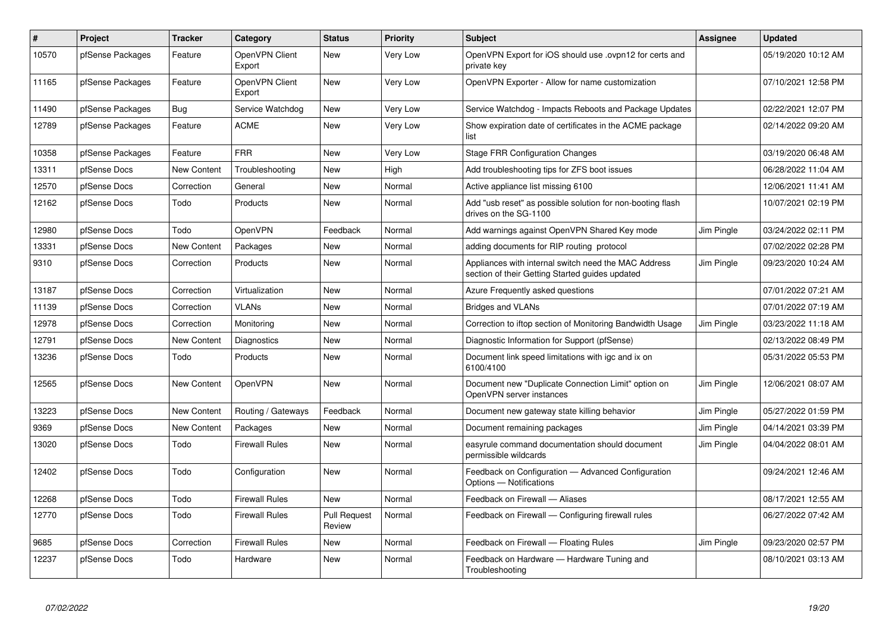| $\#$  | <b>Project</b>   | <b>Tracker</b>     | Category                 | <b>Status</b>                 | <b>Priority</b> | <b>Subject</b>                                                                                          | <b>Assignee</b> | <b>Updated</b>      |
|-------|------------------|--------------------|--------------------------|-------------------------------|-----------------|---------------------------------------------------------------------------------------------------------|-----------------|---------------------|
| 10570 | pfSense Packages | Feature            | OpenVPN Client<br>Export | New                           | Very Low        | OpenVPN Export for iOS should use .ovpn12 for certs and<br>private key                                  |                 | 05/19/2020 10:12 AM |
| 11165 | pfSense Packages | Feature            | OpenVPN Client<br>Export | <b>New</b>                    | Very Low        | OpenVPN Exporter - Allow for name customization                                                         |                 | 07/10/2021 12:58 PM |
| 11490 | pfSense Packages | Bug                | Service Watchdog         | <b>New</b>                    | Very Low        | Service Watchdog - Impacts Reboots and Package Updates                                                  |                 | 02/22/2021 12:07 PM |
| 12789 | pfSense Packages | Feature            | <b>ACME</b>              | New                           | Very Low        | Show expiration date of certificates in the ACME package<br>list                                        |                 | 02/14/2022 09:20 AM |
| 10358 | pfSense Packages | Feature            | <b>FRR</b>               | <b>New</b>                    | Very Low        | <b>Stage FRR Configuration Changes</b>                                                                  |                 | 03/19/2020 06:48 AM |
| 13311 | pfSense Docs     | <b>New Content</b> | Troubleshooting          | New                           | High            | Add troubleshooting tips for ZFS boot issues                                                            |                 | 06/28/2022 11:04 AM |
| 12570 | pfSense Docs     | Correction         | General                  | <b>New</b>                    | Normal          | Active appliance list missing 6100                                                                      |                 | 12/06/2021 11:41 AM |
| 12162 | pfSense Docs     | Todo               | Products                 | New                           | Normal          | Add "usb reset" as possible solution for non-booting flash<br>drives on the SG-1100                     |                 | 10/07/2021 02:19 PM |
| 12980 | pfSense Docs     | Todo               | OpenVPN                  | Feedback                      | Normal          | Add warnings against OpenVPN Shared Key mode                                                            | Jim Pingle      | 03/24/2022 02:11 PM |
| 13331 | pfSense Docs     | <b>New Content</b> | Packages                 | New                           | Normal          | adding documents for RIP routing protocol                                                               |                 | 07/02/2022 02:28 PM |
| 9310  | pfSense Docs     | Correction         | Products                 | <b>New</b>                    | Normal          | Appliances with internal switch need the MAC Address<br>section of their Getting Started guides updated | Jim Pingle      | 09/23/2020 10:24 AM |
| 13187 | pfSense Docs     | Correction         | Virtualization           | <b>New</b>                    | Normal          | Azure Frequently asked questions                                                                        |                 | 07/01/2022 07:21 AM |
| 11139 | pfSense Docs     | Correction         | VLANs                    | New                           | Normal          | Bridges and VLANs                                                                                       |                 | 07/01/2022 07:19 AM |
| 12978 | pfSense Docs     | Correction         | Monitoring               | New                           | Normal          | Correction to iftop section of Monitoring Bandwidth Usage                                               | Jim Pingle      | 03/23/2022 11:18 AM |
| 12791 | pfSense Docs     | <b>New Content</b> | Diagnostics              | New                           | Normal          | Diagnostic Information for Support (pfSense)                                                            |                 | 02/13/2022 08:49 PM |
| 13236 | pfSense Docs     | Todo               | Products                 | <b>New</b>                    | Normal          | Document link speed limitations with igc and ix on<br>6100/4100                                         |                 | 05/31/2022 05:53 PM |
| 12565 | pfSense Docs     | <b>New Content</b> | <b>OpenVPN</b>           | New                           | Normal          | Document new "Duplicate Connection Limit" option on<br>OpenVPN server instances                         | Jim Pingle      | 12/06/2021 08:07 AM |
| 13223 | pfSense Docs     | New Content        | Routing / Gateways       | Feedback                      | Normal          | Document new gateway state killing behavior                                                             | Jim Pingle      | 05/27/2022 01:59 PM |
| 9369  | pfSense Docs     | New Content        | Packages                 | <b>New</b>                    | Normal          | Document remaining packages                                                                             | Jim Pingle      | 04/14/2021 03:39 PM |
| 13020 | pfSense Docs     | Todo               | <b>Firewall Rules</b>    | New                           | Normal          | easyrule command documentation should document<br>permissible wildcards                                 | Jim Pingle      | 04/04/2022 08:01 AM |
| 12402 | pfSense Docs     | Todo               | Configuration            | <b>New</b>                    | Normal          | Feedback on Configuration - Advanced Configuration<br>Options - Notifications                           |                 | 09/24/2021 12:46 AM |
| 12268 | pfSense Docs     | Todo               | <b>Firewall Rules</b>    | <b>New</b>                    | Normal          | Feedback on Firewall - Aliases                                                                          |                 | 08/17/2021 12:55 AM |
| 12770 | pfSense Docs     | Todo               | <b>Firewall Rules</b>    | <b>Pull Request</b><br>Review | Normal          | Feedback on Firewall — Configuring firewall rules                                                       |                 | 06/27/2022 07:42 AM |
| 9685  | pfSense Docs     | Correction         | <b>Firewall Rules</b>    | <b>New</b>                    | Normal          | Feedback on Firewall - Floating Rules                                                                   | Jim Pingle      | 09/23/2020 02:57 PM |
| 12237 | pfSense Docs     | Todo               | Hardware                 | <b>New</b>                    | Normal          | Feedback on Hardware - Hardware Tuning and<br>Troubleshooting                                           |                 | 08/10/2021 03:13 AM |